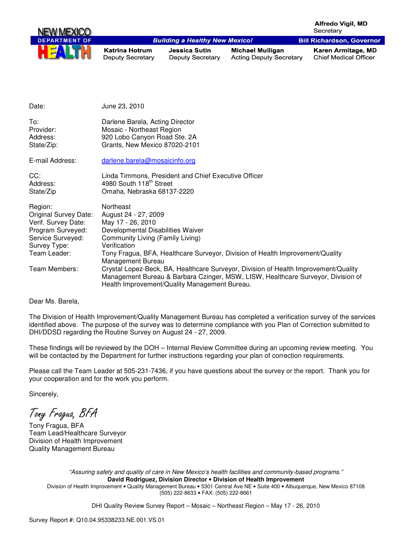

| Date:                                                                                                                                                     | June 23, 2010                                                                                                                                                                                                                                                                                                                                                                                                                                                                     |
|-----------------------------------------------------------------------------------------------------------------------------------------------------------|-----------------------------------------------------------------------------------------------------------------------------------------------------------------------------------------------------------------------------------------------------------------------------------------------------------------------------------------------------------------------------------------------------------------------------------------------------------------------------------|
| To:<br>Provider:<br>Address:<br>State/Zip:                                                                                                                | Darlene Barela, Acting Director<br>Mosaic - Northeast Region<br>920 Lobo Canyon Road Ste. 2A<br>Grants, New Mexico 87020-2101                                                                                                                                                                                                                                                                                                                                                     |
| E-mail Address:                                                                                                                                           | darlene.barela@mosaicinfo.org                                                                                                                                                                                                                                                                                                                                                                                                                                                     |
| CC:<br>Address:<br>State/Zip                                                                                                                              | Linda Timmons, President and Chief Executive Officer<br>4980 South 118 <sup>th</sup> Street<br>Omaha, Nebraska 68137-2220                                                                                                                                                                                                                                                                                                                                                         |
| Region:<br><b>Original Survey Date:</b><br>Verif. Survey Date:<br>Program Surveyed:<br>Service Surveyed:<br>Survey Type:<br>Team Leader:<br>Team Members: | Northeast<br>August 24 - 27, 2009<br>May 17 - 26, 2010<br>Developmental Disabilities Waiver<br>Community Living (Family Living)<br>Verification<br>Tony Fragua, BFA, Healthcare Surveyor, Division of Health Improvement/Quality<br>Management Bureau<br>Crystal Lopez-Beck, BA, Healthcare Surveyor, Division of Health Improvement/Quality<br>Management Bureau & Barbara Czinger, MSW, LISW, Healthcare Surveyor, Division of<br>Health Improvement/Quality Management Bureau. |

### Dear Ms. Barela,

The Division of Health Improvement/Quality Management Bureau has completed a verification survey of the services identified above. The purpose of the survey was to determine compliance with you Plan of Correction submitted to DHI/DDSD regarding the Routine Survey on August 24 - 27, 2009.

These findings will be reviewed by the DOH – Internal Review Committee during an upcoming review meeting. You will be contacted by the Department for further instructions regarding your plan of correction requirements.

Please call the Team Leader at 505-231-7436, if you have questions about the survey or the report. Thank you for your cooperation and for the work you perform.

Sincerely,

Tony Fragua, BFA

Tony Fragua, BFA Team Lead/Healthcare Surveyor Division of Health Improvement Quality Management Bureau

> "Assuring safety and quality of care in New Mexico's health facilities and community-based programs." **David Rodriguez, Division Director** • **Division of Health Improvement**  Division of Health Improvement • Quality Management Bureau • 5301 Central Ave NE • Suite 400 • Albuquerque, New Mexico 87108

> > (505) 222-8633 • FAX: (505) 222-8661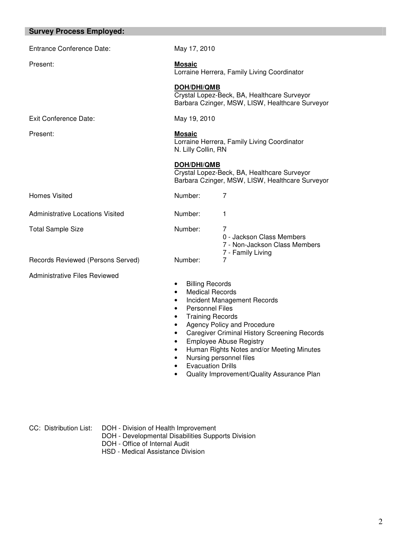| <b>Survey Process Employed:</b>      |                                                                                                                                                                                                                                                                                                                                                                                                                                                                        |                                                                                                |  |
|--------------------------------------|------------------------------------------------------------------------------------------------------------------------------------------------------------------------------------------------------------------------------------------------------------------------------------------------------------------------------------------------------------------------------------------------------------------------------------------------------------------------|------------------------------------------------------------------------------------------------|--|
| Entrance Conference Date:            | May 17, 2010                                                                                                                                                                                                                                                                                                                                                                                                                                                           |                                                                                                |  |
| Present:                             | <b>Mosaic</b><br>Lorraine Herrera, Family Living Coordinator                                                                                                                                                                                                                                                                                                                                                                                                           |                                                                                                |  |
|                                      | <b>DOH/DHI/QMB</b>                                                                                                                                                                                                                                                                                                                                                                                                                                                     | Crystal Lopez-Beck, BA, Healthcare Surveyor<br>Barbara Czinger, MSW, LISW, Healthcare Surveyor |  |
| <b>Exit Conference Date:</b>         | May 19, 2010                                                                                                                                                                                                                                                                                                                                                                                                                                                           |                                                                                                |  |
| Present:                             | <b>Mosaic</b><br>Lorraine Herrera, Family Living Coordinator<br>N. Lilly Collin, RN                                                                                                                                                                                                                                                                                                                                                                                    |                                                                                                |  |
|                                      | <b>DOH/DHI/QMB</b>                                                                                                                                                                                                                                                                                                                                                                                                                                                     | Crystal Lopez-Beck, BA, Healthcare Surveyor<br>Barbara Czinger, MSW, LISW, Healthcare Surveyor |  |
| <b>Homes Visited</b>                 | Number:                                                                                                                                                                                                                                                                                                                                                                                                                                                                | 7                                                                                              |  |
| Administrative Locations Visited     | Number:                                                                                                                                                                                                                                                                                                                                                                                                                                                                | 1                                                                                              |  |
| <b>Total Sample Size</b>             | Number:                                                                                                                                                                                                                                                                                                                                                                                                                                                                | 7<br>0 - Jackson Class Members<br>7 - Non-Jackson Class Members                                |  |
| Records Reviewed (Persons Served)    | Number:                                                                                                                                                                                                                                                                                                                                                                                                                                                                | 7 - Family Living<br>7                                                                         |  |
| <b>Administrative Files Reviewed</b> | <b>Billing Records</b><br>$\bullet$<br><b>Medical Records</b><br>$\bullet$<br>Incident Management Records<br>$\bullet$<br><b>Personnel Files</b><br>$\bullet$<br><b>Training Records</b><br>$\bullet$<br>Agency Policy and Procedure<br>$\bullet$<br><b>Caregiver Criminal History Screening Records</b><br>$\bullet$<br><b>Employee Abuse Registry</b><br>$\bullet$<br>Human Rights Notes and/or Meeting Minutes<br>$\bullet$<br>Nursing personnel files<br>$\bullet$ |                                                                                                |  |

- Evacuation Drills
- Quality Improvement/Quality Assurance Plan

CC: Distribution List: DOH - Division of Health Improvement

- DOH Developmental Disabilities Supports Division
- DOH Office of Internal Audit
- HSD Medical Assistance Division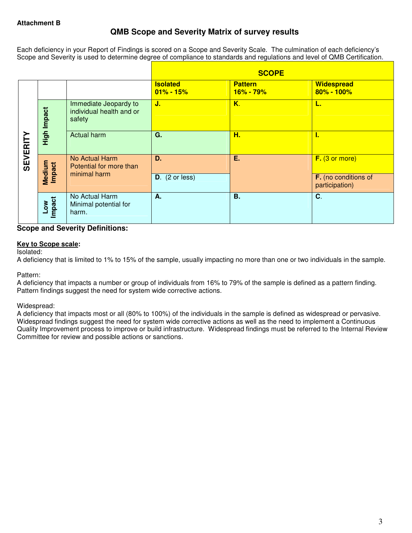# **QMB Scope and Severity Matrix of survey results**

Each deficiency in your Report of Findings is scored on a Scope and Severity Scale. The culmination of each deficiency's Scope and Severity is used to determine degree of compliance to standards and regulations and level of QMB Certification.

|                |                      |                                                             |                                  | <b>SCOPE</b>                    |                                        |
|----------------|----------------------|-------------------------------------------------------------|----------------------------------|---------------------------------|----------------------------------------|
|                |                      |                                                             | <b>Isolated</b><br>$01\% - 15\%$ | <b>Pattern</b><br>$16\% - 79\%$ | <b>Widespread</b><br>80% - 100%        |
|                | High Impact          | Immediate Jeopardy to<br>individual health and or<br>safety | J.                               | K.                              | ц.                                     |
| <b>SEVERIT</b> |                      | <b>Actual harm</b>                                          | G.                               | H.                              | л.                                     |
|                | Medium<br>Impact     | No Actual Harm<br>Potential for more than                   | D.                               | Ε.                              | F. (3 or more)                         |
|                |                      | minimal harm                                                | $D.$ (2 or less)                 |                                 | F. (no conditions of<br>participation) |
|                | <b>Impact</b><br>Low | No Actual Harm<br>Minimal potential for<br>harm.            | А.                               | <b>B.</b>                       | C.                                     |

# **Scope and Severity Definitions:**

# **Key to Scope scale:**

Isolated:

A deficiency that is limited to 1% to 15% of the sample, usually impacting no more than one or two individuals in the sample.

### Pattern:

A deficiency that impacts a number or group of individuals from 16% to 79% of the sample is defined as a pattern finding. Pattern findings suggest the need for system wide corrective actions.

# Widespread:

A deficiency that impacts most or all (80% to 100%) of the individuals in the sample is defined as widespread or pervasive. Widespread findings suggest the need for system wide corrective actions as well as the need to implement a Continuous Quality Improvement process to improve or build infrastructure. Widespread findings must be referred to the Internal Review Committee for review and possible actions or sanctions.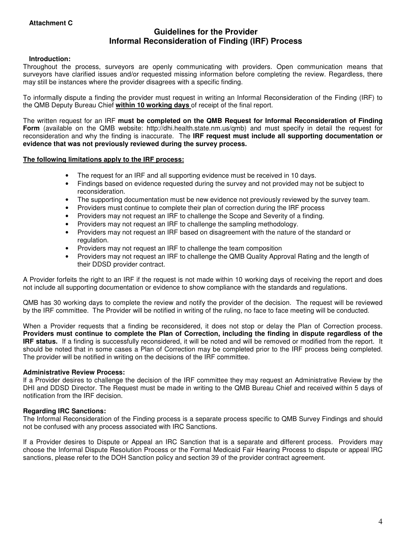# **Guidelines for the Provider Informal Reconsideration of Finding (IRF) Process**

## **Introduction:**

Throughout the process, surveyors are openly communicating with providers. Open communication means that surveyors have clarified issues and/or requested missing information before completing the review. Regardless, there may still be instances where the provider disagrees with a specific finding.

To informally dispute a finding the provider must request in writing an Informal Reconsideration of the Finding (IRF) to the QMB Deputy Bureau Chief **within 10 working days** of receipt of the final report.

The written request for an IRF **must be completed on the QMB Request for Informal Reconsideration of Finding Form** (available on the QMB website: http://dhi.health.state.nm.us/qmb) and must specify in detail the request for reconsideration and why the finding is inaccurate. The **IRF request must include all supporting documentation or evidence that was not previously reviewed during the survey process.** 

### **The following limitations apply to the IRF process:**

- The request for an IRF and all supporting evidence must be received in 10 days.
- Findings based on evidence requested during the survey and not provided may not be subject to reconsideration.
- The supporting documentation must be new evidence not previously reviewed by the survey team.
- Providers must continue to complete their plan of correction during the IRF process
- Providers may not request an IRF to challenge the Scope and Severity of a finding.
- Providers may not request an IRF to challenge the sampling methodology.
- Providers may not request an IRF based on disagreement with the nature of the standard or regulation.
- Providers may not request an IRF to challenge the team composition
- Providers may not request an IRF to challenge the QMB Quality Approval Rating and the length of their DDSD provider contract.

A Provider forfeits the right to an IRF if the request is not made within 10 working days of receiving the report and does not include all supporting documentation or evidence to show compliance with the standards and regulations.

QMB has 30 working days to complete the review and notify the provider of the decision. The request will be reviewed by the IRF committee. The Provider will be notified in writing of the ruling, no face to face meeting will be conducted.

When a Provider requests that a finding be reconsidered, it does not stop or delay the Plan of Correction process. **Providers must continue to complete the Plan of Correction, including the finding in dispute regardless of the IRF status.** If a finding is successfully reconsidered, it will be noted and will be removed or modified from the report. It should be noted that in some cases a Plan of Correction may be completed prior to the IRF process being completed. The provider will be notified in writing on the decisions of the IRF committee.

### **Administrative Review Process:**

If a Provider desires to challenge the decision of the IRF committee they may request an Administrative Review by the DHI and DDSD Director. The Request must be made in writing to the QMB Bureau Chief and received within 5 days of notification from the IRF decision.

### **Regarding IRC Sanctions:**

The Informal Reconsideration of the Finding process is a separate process specific to QMB Survey Findings and should not be confused with any process associated with IRC Sanctions.

If a Provider desires to Dispute or Appeal an IRC Sanction that is a separate and different process. Providers may choose the Informal Dispute Resolution Process or the Formal Medicaid Fair Hearing Process to dispute or appeal IRC sanctions, please refer to the DOH Sanction policy and section 39 of the provider contract agreement.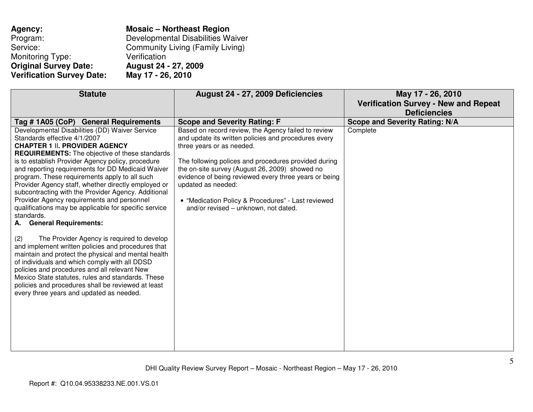| Agency:                          | <b>Mosaic - Northeast Region</b>        |
|----------------------------------|-----------------------------------------|
| Program:                         | Developmental Disabilities Waiver       |
| Service:                         | <b>Community Living (Family Living)</b> |
| Monitoring Type:                 | Verification                            |
| <b>Original Survey Date:</b>     | August 24 - 27, 2009                    |
| <b>Verification Survey Date:</b> | May 17 - 26, 2010                       |

| <b>Statute</b>                                                                                                                                                                                                                                                                                                                                                                                                                                                                                                                                                                                                                                                                                                                                                                                                                                                                                                                                                                                                                                | August 24 - 27, 2009 Deficiencies                                                                                                                                                                                                                                                                                                                                                                                               | May 17 - 26, 2010<br><b>Verification Survey - New and Repeat</b><br><b>Deficiencies</b> |
|-----------------------------------------------------------------------------------------------------------------------------------------------------------------------------------------------------------------------------------------------------------------------------------------------------------------------------------------------------------------------------------------------------------------------------------------------------------------------------------------------------------------------------------------------------------------------------------------------------------------------------------------------------------------------------------------------------------------------------------------------------------------------------------------------------------------------------------------------------------------------------------------------------------------------------------------------------------------------------------------------------------------------------------------------|---------------------------------------------------------------------------------------------------------------------------------------------------------------------------------------------------------------------------------------------------------------------------------------------------------------------------------------------------------------------------------------------------------------------------------|-----------------------------------------------------------------------------------------|
| Tag # 1A05 (CoP) General Requirements                                                                                                                                                                                                                                                                                                                                                                                                                                                                                                                                                                                                                                                                                                                                                                                                                                                                                                                                                                                                         | <b>Scope and Severity Rating: F</b>                                                                                                                                                                                                                                                                                                                                                                                             | <b>Scope and Severity Rating: N/A</b>                                                   |
| Developmental Disabilities (DD) Waiver Service<br>Standards effective 4/1/2007<br><b>CHAPTER 1 II. PROVIDER AGENCY</b><br><b>REQUIREMENTS:</b> The objective of these standards<br>is to establish Provider Agency policy, procedure<br>and reporting requirements for DD Medicaid Waiver<br>program. These requirements apply to all such<br>Provider Agency staff, whether directly employed or<br>subcontracting with the Provider Agency. Additional<br>Provider Agency requirements and personnel<br>qualifications may be applicable for specific service<br>standards.<br><b>General Requirements:</b><br>А.<br>The Provider Agency is required to develop<br>(2)<br>and implement written policies and procedures that<br>maintain and protect the physical and mental health<br>of individuals and which comply with all DDSD<br>policies and procedures and all relevant New<br>Mexico State statutes, rules and standards. These<br>policies and procedures shall be reviewed at least<br>every three years and updated as needed. | Based on record review, the Agency failed to review<br>and update its written policies and procedures every<br>three years or as needed.<br>The following polices and procedures provided during<br>the on-site survey (August 26, 2009) showed no<br>evidence of being reviewed every three years or being<br>updated as needed:<br>• "Medication Policy & Procedures" - Last reviewed<br>and/or revised - unknown, not dated. | Complete                                                                                |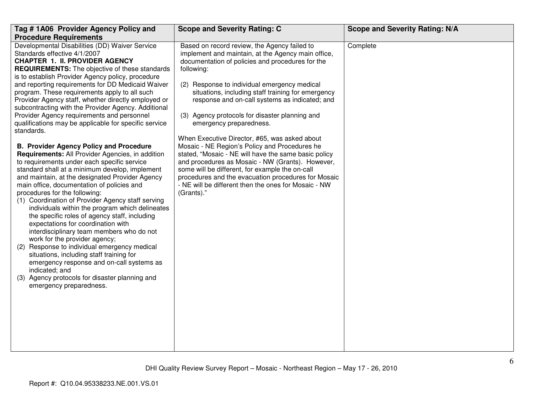| Tag #1A06 Provider Agency Policy and                                                                                                                                                                                                                                                                                                                                                                                                                                                                                                                                                                                                                                                                                                                                                                                                                                                                                                                                                                                                                                                                                                                                                                                                                                                                                                                                                                                                               | <b>Scope and Severity Rating: C</b>                                                                                                                                                                                                                                                                                                                                                                                                                                                                                                                                                                                                                                                                                                                                                                     | <b>Scope and Severity Rating: N/A</b> |
|----------------------------------------------------------------------------------------------------------------------------------------------------------------------------------------------------------------------------------------------------------------------------------------------------------------------------------------------------------------------------------------------------------------------------------------------------------------------------------------------------------------------------------------------------------------------------------------------------------------------------------------------------------------------------------------------------------------------------------------------------------------------------------------------------------------------------------------------------------------------------------------------------------------------------------------------------------------------------------------------------------------------------------------------------------------------------------------------------------------------------------------------------------------------------------------------------------------------------------------------------------------------------------------------------------------------------------------------------------------------------------------------------------------------------------------------------|---------------------------------------------------------------------------------------------------------------------------------------------------------------------------------------------------------------------------------------------------------------------------------------------------------------------------------------------------------------------------------------------------------------------------------------------------------------------------------------------------------------------------------------------------------------------------------------------------------------------------------------------------------------------------------------------------------------------------------------------------------------------------------------------------------|---------------------------------------|
| <b>Procedure Requirements</b>                                                                                                                                                                                                                                                                                                                                                                                                                                                                                                                                                                                                                                                                                                                                                                                                                                                                                                                                                                                                                                                                                                                                                                                                                                                                                                                                                                                                                      |                                                                                                                                                                                                                                                                                                                                                                                                                                                                                                                                                                                                                                                                                                                                                                                                         |                                       |
| Developmental Disabilities (DD) Waiver Service<br>Standards effective 4/1/2007<br><b>CHAPTER 1. II. PROVIDER AGENCY</b><br><b>REQUIREMENTS:</b> The objective of these standards<br>is to establish Provider Agency policy, procedure<br>and reporting requirements for DD Medicaid Waiver<br>program. These requirements apply to all such<br>Provider Agency staff, whether directly employed or<br>subcontracting with the Provider Agency. Additional<br>Provider Agency requirements and personnel<br>qualifications may be applicable for specific service<br>standards.<br><b>B. Provider Agency Policy and Procedure</b><br>Requirements: All Provider Agencies, in addition<br>to requirements under each specific service<br>standard shall at a minimum develop, implement<br>and maintain, at the designated Provider Agency<br>main office, documentation of policies and<br>procedures for the following:<br>(1) Coordination of Provider Agency staff serving<br>individuals within the program which delineates<br>the specific roles of agency staff, including<br>expectations for coordination with<br>interdisciplinary team members who do not<br>work for the provider agency;<br>Response to individual emergency medical<br>(2)<br>situations, including staff training for<br>emergency response and on-call systems as<br>indicated; and<br>Agency protocols for disaster planning and<br>(3)<br>emergency preparedness. | Based on record review, the Agency failed to<br>implement and maintain, at the Agency main office,<br>documentation of policies and procedures for the<br>following:<br>(2) Response to individual emergency medical<br>situations, including staff training for emergency<br>response and on-call systems as indicated; and<br>(3) Agency protocols for disaster planning and<br>emergency preparedness.<br>When Executive Director, #65, was asked about<br>Mosaic - NE Region's Policy and Procedures he<br>stated, "Mosaic - NE will have the same basic policy<br>and procedures as Mosaic - NW (Grants). However,<br>some will be different, for example the on-call<br>procedures and the evacuation procedures for Mosaic<br>- NE will be different then the ones for Mosaic - NW<br>(Grants)." | Complete                              |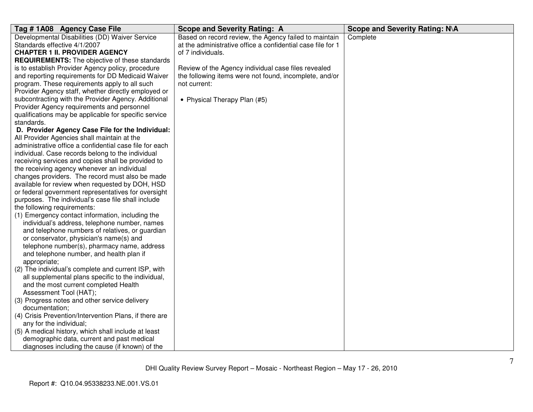| Tag #1A08 Agency Case File                              | <b>Scope and Severity Rating: A</b>                         | Scope and Severity Rating: N\A |
|---------------------------------------------------------|-------------------------------------------------------------|--------------------------------|
| Developmental Disabilities (DD) Waiver Service          | Based on record review, the Agency failed to maintain       | Complete                       |
| Standards effective 4/1/2007                            | at the administrative office a confidential case file for 1 |                                |
| <b>CHAPTER 1 II. PROVIDER AGENCY</b>                    | of 7 individuals.                                           |                                |
| <b>REQUIREMENTS:</b> The objective of these standards   |                                                             |                                |
| is to establish Provider Agency policy, procedure       | Review of the Agency individual case files revealed         |                                |
| and reporting requirements for DD Medicaid Waiver       | the following items were not found, incomplete, and/or      |                                |
| program. These requirements apply to all such           | not current:                                                |                                |
| Provider Agency staff, whether directly employed or     |                                                             |                                |
| subcontracting with the Provider Agency. Additional     | • Physical Therapy Plan (#5)                                |                                |
| Provider Agency requirements and personnel              |                                                             |                                |
| qualifications may be applicable for specific service   |                                                             |                                |
| standards.                                              |                                                             |                                |
| D. Provider Agency Case File for the Individual:        |                                                             |                                |
| All Provider Agencies shall maintain at the             |                                                             |                                |
| administrative office a confidential case file for each |                                                             |                                |
| individual. Case records belong to the individual       |                                                             |                                |
| receiving services and copies shall be provided to      |                                                             |                                |
| the receiving agency whenever an individual             |                                                             |                                |
| changes providers. The record must also be made         |                                                             |                                |
| available for review when requested by DOH, HSD         |                                                             |                                |
| or federal government representatives for oversight     |                                                             |                                |
| purposes. The individual's case file shall include      |                                                             |                                |
| the following requirements:                             |                                                             |                                |
| (1) Emergency contact information, including the        |                                                             |                                |
| individual's address, telephone number, names           |                                                             |                                |
| and telephone numbers of relatives, or guardian         |                                                             |                                |
| or conservator, physician's name(s) and                 |                                                             |                                |
| telephone number(s), pharmacy name, address             |                                                             |                                |
| and telephone number, and health plan if                |                                                             |                                |
| appropriate;                                            |                                                             |                                |
| (2) The individual's complete and current ISP, with     |                                                             |                                |
| all supplemental plans specific to the individual,      |                                                             |                                |
| and the most current completed Health                   |                                                             |                                |
| Assessment Tool (HAT);                                  |                                                             |                                |
| (3) Progress notes and other service delivery           |                                                             |                                |
| documentation;                                          |                                                             |                                |
| (4) Crisis Prevention/Intervention Plans, if there are  |                                                             |                                |
| any for the individual;                                 |                                                             |                                |
| (5) A medical history, which shall include at least     |                                                             |                                |
| demographic data, current and past medical              |                                                             |                                |
| diagnoses including the cause (if known) of the         |                                                             |                                |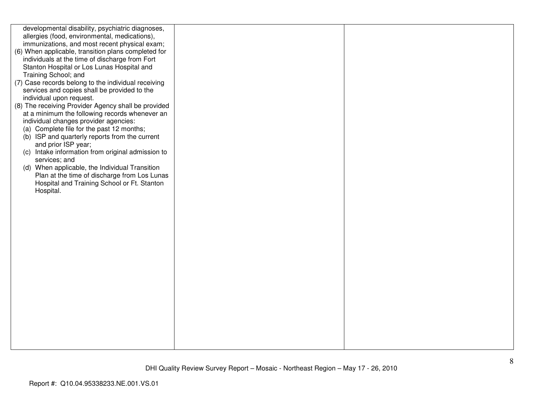| developmental disability, psychiatric diagnoses,    |  |
|-----------------------------------------------------|--|
| allergies (food, environmental, medications),       |  |
| immunizations, and most recent physical exam;       |  |
|                                                     |  |
| (6) When applicable, transition plans completed for |  |
| individuals at the time of discharge from Fort      |  |
| Stanton Hospital or Los Lunas Hospital and          |  |
|                                                     |  |
| Training School; and                                |  |
| (7) Case records belong to the individual receiving |  |
| services and copies shall be provided to the        |  |
| individual upon request.                            |  |
|                                                     |  |
| (8) The receiving Provider Agency shall be provided |  |
| at a minimum the following records whenever an      |  |
| individual changes provider agencies:               |  |
| (a) Complete file for the past 12 months;           |  |
|                                                     |  |
| (b) ISP and quarterly reports from the current      |  |
| and prior ISP year;                                 |  |
| (c) Intake information from original admission to   |  |
| services; and                                       |  |
| (d) When applicable, the Individual Transition      |  |
|                                                     |  |
| Plan at the time of discharge from Los Lunas        |  |
| Hospital and Training School or Ft. Stanton         |  |
| Hospital.                                           |  |
|                                                     |  |
|                                                     |  |
|                                                     |  |
|                                                     |  |
|                                                     |  |
|                                                     |  |
|                                                     |  |
|                                                     |  |
|                                                     |  |
|                                                     |  |
|                                                     |  |
|                                                     |  |
|                                                     |  |
|                                                     |  |
|                                                     |  |
|                                                     |  |
|                                                     |  |
|                                                     |  |
|                                                     |  |
|                                                     |  |
|                                                     |  |
|                                                     |  |
|                                                     |  |
|                                                     |  |
|                                                     |  |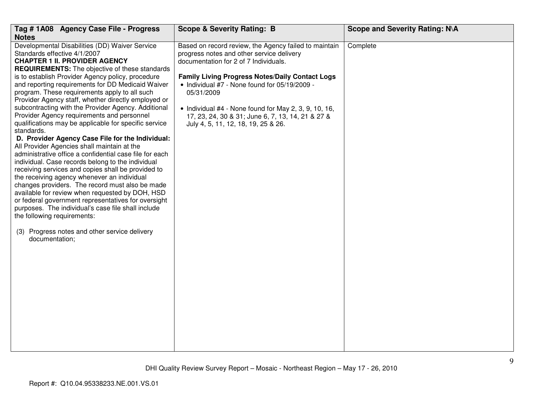| Tag # 1A08 Agency Case File - Progress<br><b>Notes</b>                                                                                                                                                                                                                                                                                                                                                                                                                                                                                                                                                                                                                                                                                                                                                                                                                                                                                                                                                                                                                                                                                                                                                                     | <b>Scope &amp; Severity Rating: B</b>                                                                                                                                                                                                                                                                                                                                                                              | <b>Scope and Severity Rating: N\A</b> |
|----------------------------------------------------------------------------------------------------------------------------------------------------------------------------------------------------------------------------------------------------------------------------------------------------------------------------------------------------------------------------------------------------------------------------------------------------------------------------------------------------------------------------------------------------------------------------------------------------------------------------------------------------------------------------------------------------------------------------------------------------------------------------------------------------------------------------------------------------------------------------------------------------------------------------------------------------------------------------------------------------------------------------------------------------------------------------------------------------------------------------------------------------------------------------------------------------------------------------|--------------------------------------------------------------------------------------------------------------------------------------------------------------------------------------------------------------------------------------------------------------------------------------------------------------------------------------------------------------------------------------------------------------------|---------------------------------------|
| Developmental Disabilities (DD) Waiver Service<br>Standards effective 4/1/2007<br><b>CHAPTER 1 II. PROVIDER AGENCY</b><br><b>REQUIREMENTS:</b> The objective of these standards<br>is to establish Provider Agency policy, procedure<br>and reporting requirements for DD Medicaid Waiver<br>program. These requirements apply to all such<br>Provider Agency staff, whether directly employed or<br>subcontracting with the Provider Agency. Additional<br>Provider Agency requirements and personnel<br>qualifications may be applicable for specific service<br>standards.<br>D. Provider Agency Case File for the Individual:<br>All Provider Agencies shall maintain at the<br>administrative office a confidential case file for each<br>individual. Case records belong to the individual<br>receiving services and copies shall be provided to<br>the receiving agency whenever an individual<br>changes providers. The record must also be made<br>available for review when requested by DOH, HSD<br>or federal government representatives for oversight<br>purposes. The individual's case file shall include<br>the following requirements:<br>(3) Progress notes and other service delivery<br>documentation; | Based on record review, the Agency failed to maintain<br>progress notes and other service delivery<br>documentation for 2 of 7 Individuals.<br>Family Living Progress Notes/Daily Contact Logs<br>• Individual #7 - None found for 05/19/2009 -<br>05/31/2009<br>• Individual #4 - None found for May 2, 3, 9, 10, 16,<br>17, 23, 24, 30 & 31; June 6, 7, 13, 14, 21 & 27 &<br>July 4, 5, 11, 12, 18, 19, 25 & 26. | Complete                              |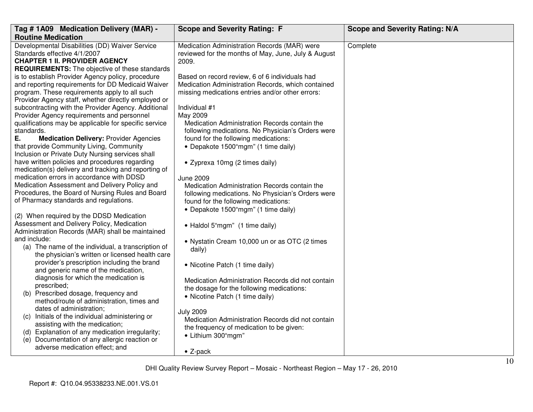| Tag # 1A09 Medication Delivery (MAR) -                                                                                                                                                                                                                                                                                                                                                                                                                                                                                                                                                                                                                      | <b>Scope and Severity Rating: F</b>                                                                                                                                                                                                                                                                                                                                                                          | <b>Scope and Severity Rating: N/A</b> |
|-------------------------------------------------------------------------------------------------------------------------------------------------------------------------------------------------------------------------------------------------------------------------------------------------------------------------------------------------------------------------------------------------------------------------------------------------------------------------------------------------------------------------------------------------------------------------------------------------------------------------------------------------------------|--------------------------------------------------------------------------------------------------------------------------------------------------------------------------------------------------------------------------------------------------------------------------------------------------------------------------------------------------------------------------------------------------------------|---------------------------------------|
| <b>Routine Medication</b>                                                                                                                                                                                                                                                                                                                                                                                                                                                                                                                                                                                                                                   |                                                                                                                                                                                                                                                                                                                                                                                                              |                                       |
| Developmental Disabilities (DD) Waiver Service<br>Standards effective 4/1/2007<br><b>CHAPTER 1 II. PROVIDER AGENCY</b><br><b>REQUIREMENTS:</b> The objective of these standards                                                                                                                                                                                                                                                                                                                                                                                                                                                                             | Medication Administration Records (MAR) were<br>reviewed for the months of May, June, July & August<br>2009.                                                                                                                                                                                                                                                                                                 | Complete                              |
| is to establish Provider Agency policy, procedure<br>and reporting requirements for DD Medicaid Waiver<br>program. These requirements apply to all such<br>Provider Agency staff, whether directly employed or<br>subcontracting with the Provider Agency. Additional<br>Provider Agency requirements and personnel<br>qualifications may be applicable for specific service<br>standards.<br>Ε.<br><b>Medication Delivery: Provider Agencies</b><br>that provide Community Living, Community<br>Inclusion or Private Duty Nursing services shall<br>have written policies and procedures regarding<br>medication(s) delivery and tracking and reporting of | Based on record review, 6 of 6 individuals had<br>Medication Administration Records, which contained<br>missing medications entries and/or other errors:<br>Individual #1<br>May 2009<br>Medication Administration Records contain the<br>following medications. No Physician's Orders were<br>found for the following medications:<br>• Depakote 1500"mgm" (1 time daily)<br>• Zyprexa 10mg (2 times daily) |                                       |
| medication errors in accordance with DDSD<br>Medication Assessment and Delivery Policy and<br>Procedures, the Board of Nursing Rules and Board<br>of Pharmacy standards and regulations.<br>(2) When required by the DDSD Medication<br>Assessment and Delivery Policy, Medication                                                                                                                                                                                                                                                                                                                                                                          | <b>June 2009</b><br>Medication Administration Records contain the<br>following medications. No Physician's Orders were<br>found for the following medications:<br>• Depakote 1500"mgm" (1 time daily)<br>• Haldol 5"mgm" (1 time daily)                                                                                                                                                                      |                                       |
| Administration Records (MAR) shall be maintained<br>and include:<br>(a) The name of the individual, a transcription of<br>the physician's written or licensed health care<br>provider's prescription including the brand<br>and generic name of the medication,<br>diagnosis for which the medication is<br>prescribed;<br>(b) Prescribed dosage, frequency and                                                                                                                                                                                                                                                                                             | • Nystatin Cream 10,000 un or as OTC (2 times<br>daily)<br>• Nicotine Patch (1 time daily)<br>Medication Administration Records did not contain<br>the dosage for the following medications:<br>• Nicotine Patch (1 time daily)                                                                                                                                                                              |                                       |
| method/route of administration, times and<br>dates of administration;<br>(c) Initials of the individual administering or<br>assisting with the medication;<br>(d) Explanation of any medication irregularity;<br>(e) Documentation of any allergic reaction or<br>adverse medication effect; and                                                                                                                                                                                                                                                                                                                                                            | <b>July 2009</b><br>Medication Administration Records did not contain<br>the frequency of medication to be given:<br>• Lithium 300"mgm"<br>$\bullet$ Z-pack                                                                                                                                                                                                                                                  |                                       |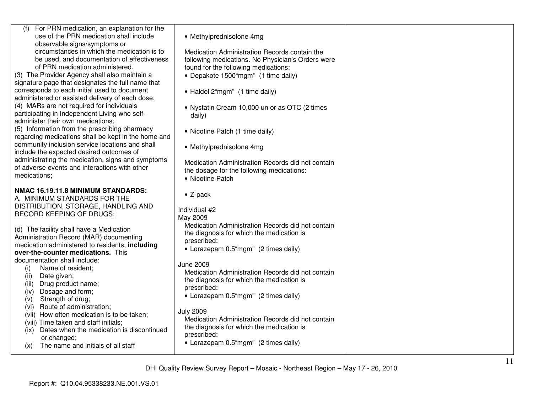| For PRN medication, an explanation for the                                                           |                                                   |  |
|------------------------------------------------------------------------------------------------------|---------------------------------------------------|--|
| use of the PRN medication shall include<br>observable signs/symptoms or                              | • Methylprednisolone 4mg                          |  |
| circumstances in which the medication is to                                                          | Medication Administration Records contain the     |  |
| be used, and documentation of effectiveness                                                          | following medications. No Physician's Orders were |  |
| of PRN medication administered.                                                                      | found for the following medications:              |  |
| (3) The Provider Agency shall also maintain a                                                        | • Depakote 1500"mgm" (1 time daily)               |  |
| signature page that designates the full name that                                                    |                                                   |  |
| corresponds to each initial used to document                                                         | • Haldol 2"mgm" (1 time daily)                    |  |
| administered or assisted delivery of each dose;                                                      |                                                   |  |
| (4) MARs are not required for individuals                                                            | • Nystatin Cream 10,000 un or as OTC (2 times     |  |
| participating in Independent Living who self-                                                        | daily)                                            |  |
| administer their own medications;                                                                    |                                                   |  |
| (5) Information from the prescribing pharmacy<br>regarding medications shall be kept in the home and | • Nicotine Patch (1 time daily)                   |  |
| community inclusion service locations and shall                                                      |                                                   |  |
| include the expected desired outcomes of                                                             | • Methylprednisolone 4mg                          |  |
| administrating the medication, signs and symptoms                                                    | Medication Administration Records did not contain |  |
| of adverse events and interactions with other                                                        | the dosage for the following medications:         |  |
| medications;                                                                                         | • Nicotine Patch                                  |  |
|                                                                                                      |                                                   |  |
| NMAC 16.19.11.8 MINIMUM STANDARDS:                                                                   | $\bullet$ Z-pack                                  |  |
| A. MINIMUM STANDARDS FOR THE                                                                         |                                                   |  |
| DISTRIBUTION, STORAGE, HANDLING AND<br>RECORD KEEPING OF DRUGS:                                      | Individual #2                                     |  |
|                                                                                                      | May 2009                                          |  |
| (d) The facility shall have a Medication                                                             | Medication Administration Records did not contain |  |
| Administration Record (MAR) documenting                                                              | the diagnosis for which the medication is         |  |
| medication administered to residents, including                                                      | prescribed:                                       |  |
| over-the-counter medications. This                                                                   | • Lorazepam 0.5"mgm" (2 times daily)              |  |
| documentation shall include:                                                                         | June 2009                                         |  |
| Name of resident;<br>(i)                                                                             | Medication Administration Records did not contain |  |
| (ii)<br>Date given;                                                                                  | the diagnosis for which the medication is         |  |
| (iii)<br>Drug product name;                                                                          | prescribed:                                       |  |
| Dosage and form;<br>(iv)                                                                             | • Lorazepam 0.5"mgm" (2 times daily)              |  |
| Strength of drug;<br>(v)<br>Route of administration;                                                 |                                                   |  |
| (vi)<br>(vii) How often medication is to be taken;                                                   | <b>July 2009</b>                                  |  |
| (viii) Time taken and staff initials;                                                                | Medication Administration Records did not contain |  |
| Dates when the medication is discontinued<br>(ix)                                                    | the diagnosis for which the medication is         |  |
| or changed;                                                                                          | prescribed:                                       |  |
| The name and initials of all staff<br>(x)                                                            | • Lorazepam 0.5"mgm" (2 times daily)              |  |
|                                                                                                      |                                                   |  |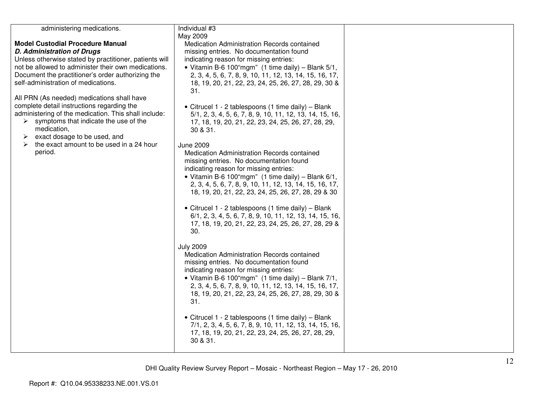| Individual #3<br>May 2009<br>Medication Administration Records contained<br>missing entries. No documentation found<br>indicating reason for missing entries:<br>• Vitamin B-6 100"mgm" (1 time daily) - Blank 5/1,<br>2, 3, 4, 5, 6, 7, 8, 9, 10, 11, 12, 13, 14, 15, 16, 17,<br>18, 19, 20, 21, 22, 23, 24, 25, 26, 27, 28, 29, 30 &<br>31.<br>• Citrucel 1 - 2 tablespoons (1 time daily) - Blank<br>5/1, 2, 3, 4, 5, 6, 7, 8, 9, 10, 11, 12, 13, 14, 15, 16,<br>17, 18, 19, 20, 21, 22, 23, 24, 25, 26, 27, 28, 29,<br>30 & 31.<br><b>June 2009</b><br>Medication Administration Records contained<br>missing entries. No documentation found<br>indicating reason for missing entries:<br>• Vitamin B-6 100"mgm" (1 time daily) $-$ Blank 6/1,<br>2, 3, 4, 5, 6, 7, 8, 9, 10, 11, 12, 13, 14, 15, 16, 17,<br>18, 19, 20, 21, 22, 23, 24, 25, 26, 27, 28, 29 & 30<br>• Citrucel 1 - 2 tablespoons (1 time daily) - Blank<br>6/1, 2, 3, 4, 5, 6, 7, 8, 9, 10, 11, 12, 13, 14, 15, 16,<br>17, 18, 19, 20, 21, 22, 23, 24, 25, 26, 27, 28, 29 &<br>30.<br><b>July 2009</b><br>Medication Administration Records contained<br>missing entries. No documentation found<br>indicating reason for missing entries:<br>• Vitamin B-6 100"mgm" (1 time daily) $-$ Blank 7/1,<br>2, 3, 4, 5, 6, 7, 8, 9, 10, 11, 12, 13, 14, 15, 16, 17,<br>18, 19, 20, 21, 22, 23, 24, 25, 26, 27, 28, 29, 30 &<br>31. |                                                     |
|---------------------------------------------------------------------------------------------------------------------------------------------------------------------------------------------------------------------------------------------------------------------------------------------------------------------------------------------------------------------------------------------------------------------------------------------------------------------------------------------------------------------------------------------------------------------------------------------------------------------------------------------------------------------------------------------------------------------------------------------------------------------------------------------------------------------------------------------------------------------------------------------------------------------------------------------------------------------------------------------------------------------------------------------------------------------------------------------------------------------------------------------------------------------------------------------------------------------------------------------------------------------------------------------------------------------------------------------------------------------------------------------------|-----------------------------------------------------|
| 7/1, 2, 3, 4, 5, 6, 7, 8, 9, 10, 11, 12, 13, 14, 15, 16,<br>17, 18, 19, 20, 21, 22, 23, 24, 25, 26, 27, 28, 29,<br>30 & 31.                                                                                                                                                                                                                                                                                                                                                                                                                                                                                                                                                                                                                                                                                                                                                                                                                                                                                                                                                                                                                                                                                                                                                                                                                                                                       |                                                     |
|                                                                                                                                                                                                                                                                                                                                                                                                                                                                                                                                                                                                                                                                                                                                                                                                                                                                                                                                                                                                                                                                                                                                                                                                                                                                                                                                                                                                   | • Citrucel 1 - 2 tablespoons (1 time daily) - Blank |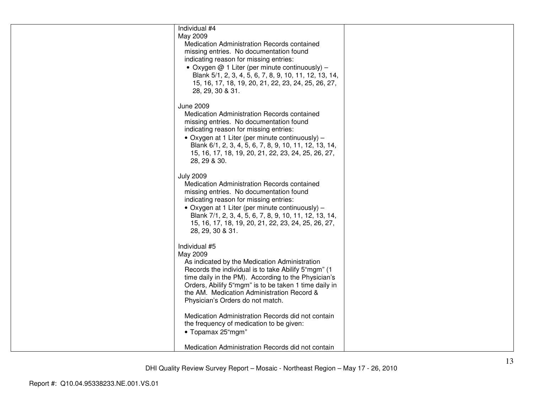| Individual #4<br>May 2009<br>Medication Administration Records contained<br>missing entries. No documentation found<br>indicating reason for missing entries:<br>• Oxygen $@$ 1 Liter (per minute continuously) –<br>Blank 5/1, 2, 3, 4, 5, 6, 7, 8, 9, 10, 11, 12, 13, 14,<br>15, 16, 17, 18, 19, 20, 21, 22, 23, 24, 25, 26, 27,<br>28, 29, 30 & 31. |  |
|--------------------------------------------------------------------------------------------------------------------------------------------------------------------------------------------------------------------------------------------------------------------------------------------------------------------------------------------------------|--|
| <b>June 2009</b><br>Medication Administration Records contained<br>missing entries. No documentation found<br>indicating reason for missing entries:<br>• Oxygen at 1 Liter (per minute continuously) –<br>Blank 6/1, 2, 3, 4, 5, 6, 7, 8, 9, 10, 11, 12, 13, 14,<br>15, 16, 17, 18, 19, 20, 21, 22, 23, 24, 25, 26, 27,<br>28, 29 & 30.               |  |
| <b>July 2009</b><br>Medication Administration Records contained<br>missing entries. No documentation found<br>indicating reason for missing entries:<br>• Oxygen at 1 Liter (per minute continuously) –<br>Blank 7/1, 2, 3, 4, 5, 6, 7, 8, 9, 10, 11, 12, 13, 14,<br>15, 16, 17, 18, 19, 20, 21, 22, 23, 24, 25, 26, 27,<br>28, 29, 30 & 31.           |  |
| Individual #5<br>May 2009<br>As indicated by the Medication Administration<br>Records the individual is to take Abilify 5"mgm" (1)<br>time daily in the PM). According to the Physician's<br>Orders, Abilify 5"mgm" is to be taken 1 time daily in<br>the AM. Medication Administration Record &<br>Physician's Orders do not match.                   |  |
| Medication Administration Records did not contain<br>the frequency of medication to be given:<br>• Topamax 25"mgm"<br>Medication Administration Records did not contain                                                                                                                                                                                |  |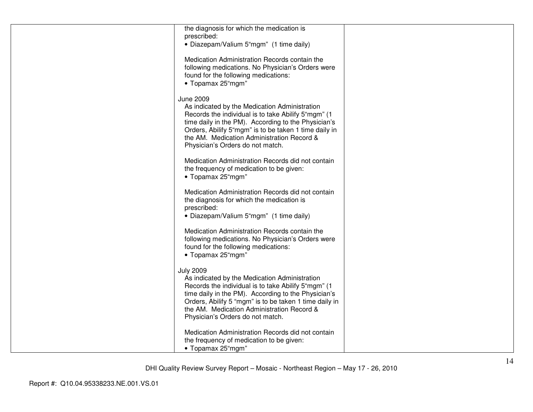| the diagnosis for which the medication is<br>prescribed:<br>· Diazepam/Valium 5"mgm" (1 time daily)                                                                                                                                                                                                                         |  |
|-----------------------------------------------------------------------------------------------------------------------------------------------------------------------------------------------------------------------------------------------------------------------------------------------------------------------------|--|
| Medication Administration Records contain the<br>following medications. No Physician's Orders were<br>found for the following medications:<br>• Topamax 25"mgm"                                                                                                                                                             |  |
| <b>June 2009</b><br>As indicated by the Medication Administration<br>Records the individual is to take Abilify 5"mgm" (1)<br>time daily in the PM). According to the Physician's<br>Orders, Abilify 5"mgm" is to be taken 1 time daily in<br>the AM. Medication Administration Record &<br>Physician's Orders do not match. |  |
| Medication Administration Records did not contain<br>the frequency of medication to be given:<br>• Topamax 25"mgm"                                                                                                                                                                                                          |  |
| Medication Administration Records did not contain<br>the diagnosis for which the medication is<br>prescribed:<br>• Diazepam/Valium 5"mgm" (1 time daily)                                                                                                                                                                    |  |
| Medication Administration Records contain the<br>following medications. No Physician's Orders were<br>found for the following medications:<br>• Topamax 25"mgm"                                                                                                                                                             |  |
| <b>July 2009</b><br>As indicated by the Medication Administration<br>Records the individual is to take Abilify 5"mgm" (1<br>time daily in the PM). According to the Physician's<br>Orders, Abilify 5 "mgm" is to be taken 1 time daily in<br>the AM. Medication Administration Record &<br>Physician's Orders do not match. |  |
| Medication Administration Records did not contain<br>the frequency of medication to be given:<br>• Topamax 25"mgm"                                                                                                                                                                                                          |  |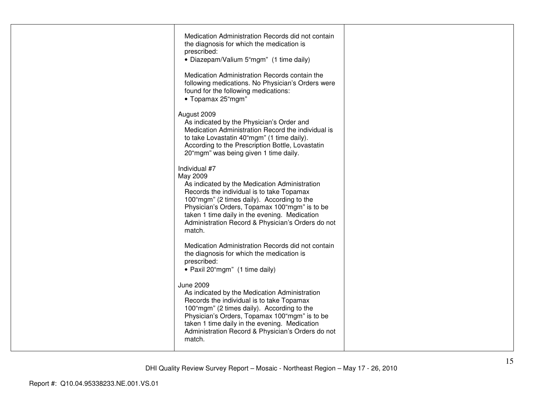| Medication Administration Records did not contain<br>the diagnosis for which the medication is<br>prescribed:<br>• Diazepam/Valium 5"mgm" (1 time daily)<br>Medication Administration Records contain the                                                                                                                              |  |
|----------------------------------------------------------------------------------------------------------------------------------------------------------------------------------------------------------------------------------------------------------------------------------------------------------------------------------------|--|
| following medications. No Physician's Orders were<br>found for the following medications:<br>• Topamax 25"mgm"                                                                                                                                                                                                                         |  |
| August 2009<br>As indicated by the Physician's Order and<br>Medication Administration Record the individual is<br>to take Lovastatin 40"mgm" (1 time daily).<br>According to the Prescription Bottle, Lovastatin<br>20"mgm" was being given 1 time daily.                                                                              |  |
| Individual #7<br>May 2009<br>As indicated by the Medication Administration<br>Records the individual is to take Topamax<br>100"mgm" (2 times daily). According to the<br>Physician's Orders, Topamax 100"mgm" is to be<br>taken 1 time daily in the evening. Medication<br>Administration Record & Physician's Orders do not<br>match. |  |
| Medication Administration Records did not contain<br>the diagnosis for which the medication is<br>prescribed:<br>• Paxil 20"mgm" (1 time daily)                                                                                                                                                                                        |  |
| <b>June 2009</b><br>As indicated by the Medication Administration<br>Records the individual is to take Topamax<br>100"mgm" (2 times daily). According to the<br>Physician's Orders, Topamax 100"mgm" is to be<br>taken 1 time daily in the evening. Medication<br>Administration Record & Physician's Orders do not<br>match.          |  |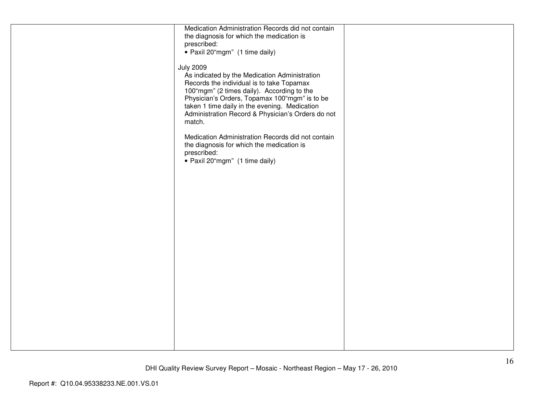| Medication Administration Records did not contain |  |
|---------------------------------------------------|--|
|                                                   |  |
| the diagnosis for which the medication is         |  |
| prescribed:                                       |  |
| • Paxil 20"mgm" (1 time daily)                    |  |
|                                                   |  |
| <b>July 2009</b>                                  |  |
| As indicated by the Medication Administration     |  |
| Records the individual is to take Topamax         |  |
| 100"mgm" (2 times daily). According to the        |  |
| Physician's Orders, Topamax 100"mgm" is to be     |  |
| taken 1 time daily in the evening. Medication     |  |
|                                                   |  |
| Administration Record & Physician's Orders do not |  |
| match.                                            |  |
|                                                   |  |
| Medication Administration Records did not contain |  |
| the diagnosis for which the medication is         |  |
| prescribed:                                       |  |
| · Paxil 20"mgm" (1 time daily)                    |  |
|                                                   |  |
|                                                   |  |
|                                                   |  |
|                                                   |  |
|                                                   |  |
|                                                   |  |
|                                                   |  |
|                                                   |  |
|                                                   |  |
|                                                   |  |
|                                                   |  |
|                                                   |  |
|                                                   |  |
|                                                   |  |
|                                                   |  |
|                                                   |  |
|                                                   |  |
|                                                   |  |
|                                                   |  |
|                                                   |  |
|                                                   |  |
|                                                   |  |
|                                                   |  |
|                                                   |  |
|                                                   |  |
|                                                   |  |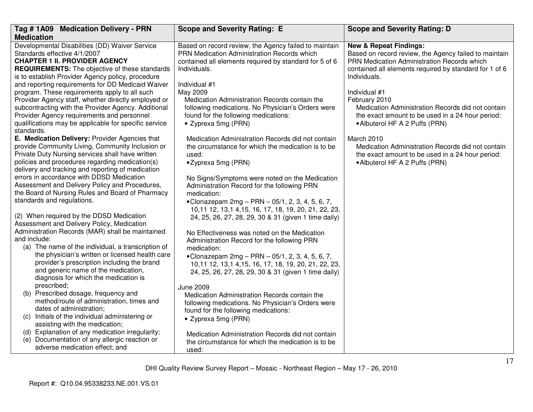| Tag #1A09 Medication Delivery - PRN                                                                 | <b>Scope and Severity Rating: E</b>                                                           | <b>Scope and Severity Rating: D</b>                                                                  |
|-----------------------------------------------------------------------------------------------------|-----------------------------------------------------------------------------------------------|------------------------------------------------------------------------------------------------------|
| <b>Medication</b>                                                                                   |                                                                                               |                                                                                                      |
| Developmental Disabilities (DD) Waiver Service                                                      | Based on record review, the Agency failed to maintain                                         | <b>New &amp; Repeat Findings:</b>                                                                    |
| Standards effective 4/1/2007<br><b>CHAPTER 1 II. PROVIDER AGENCY</b>                                | PRN Medication Administration Records which                                                   | Based on record review, the Agency failed to maintain<br>PRN Medication Administration Records which |
| <b>REQUIREMENTS:</b> The objective of these standards                                               | contained all elements required by standard for 5 of 6<br>Individuals.                        | contained all elements required by standard for 1 of 6                                               |
| is to establish Provider Agency policy, procedure                                                   |                                                                                               | Individuals.                                                                                         |
| and reporting requirements for DD Medicaid Waiver                                                   | Individual #1                                                                                 |                                                                                                      |
| program. These requirements apply to all such                                                       | May 2009                                                                                      | Individual #1                                                                                        |
| Provider Agency staff, whether directly employed or                                                 | Medication Administration Records contain the                                                 | February 2010                                                                                        |
| subcontracting with the Provider Agency. Additional                                                 | following medications. No Physician's Orders were                                             | Medication Administration Records did not contain                                                    |
| Provider Agency requirements and personnel<br>qualifications may be applicable for specific service | found for the following medications:                                                          | the exact amount to be used in a 24 hour period:                                                     |
| standards.                                                                                          | • Zyprexa 5mg (PRN)                                                                           | • Albuterol HF A 2 Puffs (PRN)                                                                       |
| E. Medication Delivery: Provider Agencies that                                                      | Medication Administration Records did not contain                                             | March 2010                                                                                           |
| provide Community Living, Community Inclusion or                                                    | the circumstance for which the medication is to be                                            | Medication Administration Records did not contain                                                    |
| Private Duty Nursing services shall have written                                                    | used:                                                                                         | the exact amount to be used in a 24 hour period:                                                     |
| policies and procedures regarding medication(s)                                                     | •Zyprexa 5mg (PRN)                                                                            | • Albuterol HF A 2 Puffs (PRN)                                                                       |
| delivery and tracking and reporting of medication<br>errors in accordance with DDSD Medication      |                                                                                               |                                                                                                      |
| Assessment and Delivery Policy and Procedures,                                                      | No Signs/Symptoms were noted on the Medication<br>Administration Record for the following PRN |                                                                                                      |
| the Board of Nursing Rules and Board of Pharmacy                                                    | medication:                                                                                   |                                                                                                      |
| standards and regulations.                                                                          | • Clonazepam $2mg - PRN - 05/1$ , 2, 3, 4, 5, 6, 7,                                           |                                                                                                      |
|                                                                                                     | 10,11 12, 13,1 4,15, 16, 17, 18, 19, 20, 21, 22, 23,                                          |                                                                                                      |
| (2) When required by the DDSD Medication                                                            | 24, 25, 26, 27, 28, 29, 30 & 31 (given 1 time daily)                                          |                                                                                                      |
| Assessment and Delivery Policy, Medication<br>Administration Records (MAR) shall be maintained      |                                                                                               |                                                                                                      |
| and include:                                                                                        | No Effectiveness was noted on the Medication                                                  |                                                                                                      |
| (a) The name of the individual, a transcription of                                                  | Administration Record for the following PRN<br>medication:                                    |                                                                                                      |
| the physician's written or licensed health care                                                     | • Clonazepam $2mg - PRN - 05/1, 2, 3, 4, 5, 6, 7$ ,                                           |                                                                                                      |
| provider's prescription including the brand                                                         | 10,11 12, 13,1 4,15, 16, 17, 18, 19, 20, 21, 22, 23,                                          |                                                                                                      |
| and generic name of the medication,                                                                 | 24, 25, 26, 27, 28, 29, 30 & 31 (given 1 time daily)                                          |                                                                                                      |
| diagnosis for which the medication is                                                               |                                                                                               |                                                                                                      |
| prescribed;<br>(b) Prescribed dosage, frequency and                                                 | <b>June 2009</b>                                                                              |                                                                                                      |
| method/route of administration, times and                                                           | Medication Administration Records contain the                                                 |                                                                                                      |
| dates of administration;                                                                            | following medications. No Physician's Orders were<br>found for the following medications:     |                                                                                                      |
| (c) Initials of the individual administering or                                                     | • Zyprexa 5mg (PRN)                                                                           |                                                                                                      |
| assisting with the medication;                                                                      |                                                                                               |                                                                                                      |
| (d) Explanation of any medication irregularity;                                                     | Medication Administration Records did not contain                                             |                                                                                                      |
| (e) Documentation of any allergic reaction or                                                       | the circumstance for which the medication is to be                                            |                                                                                                      |
| adverse medication effect; and                                                                      | used:                                                                                         |                                                                                                      |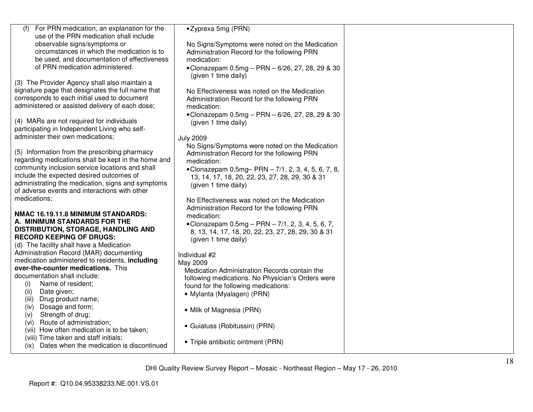| For PRN medication, an explanation for the<br>(f)<br>use of the PRN medication shall include<br>observable signs/symptoms or<br>circumstances in which the medication is to<br>be used, and documentation of effectiveness<br>of PRN medication administered.<br>(3) The Provider Agency shall also maintain a<br>signature page that designates the full name that<br>corresponds to each initial used to document<br>administered or assisted delivery of each dose; | •Zyprexa 5mg (PRN)<br>No Signs/Symptoms were noted on the Medication<br>Administration Record for the following PRN<br>medication:<br>•Clonazepam $0.5mg - PRN - 6/26$ , 27, 28, 29 & 30<br>(given 1 time daily)<br>No Effectiveness was noted on the Medication<br>Administration Record for the following PRN<br>medication: |  |
|------------------------------------------------------------------------------------------------------------------------------------------------------------------------------------------------------------------------------------------------------------------------------------------------------------------------------------------------------------------------------------------------------------------------------------------------------------------------|--------------------------------------------------------------------------------------------------------------------------------------------------------------------------------------------------------------------------------------------------------------------------------------------------------------------------------|--|
| (4) MARs are not required for individuals<br>participating in Independent Living who self-<br>administer their own medications;                                                                                                                                                                                                                                                                                                                                        | •Clonazepam 0.5mg - PRN - 6/26, 27, 28, 29 & 30<br>(given 1 time daily)<br><b>July 2009</b>                                                                                                                                                                                                                                    |  |
| (5) Information from the prescribing pharmacy<br>regarding medications shall be kept in the home and<br>community inclusion service locations and shall<br>include the expected desired outcomes of<br>administrating the medication, signs and symptoms<br>of adverse events and interactions with other                                                                                                                                                              | No Signs/Symptoms were noted on the Medication<br>Administration Record for the following PRN<br>medication:<br>• Clonazepam $0.5mg - PRN - 7/1, 2, 3, 4, 5, 6, 7, 8,$<br>13, 14, 17, 18, 20, 22, 23, 27, 28, 29, 30 & 31<br>(given 1 time daily)                                                                              |  |
| medications;<br>NMAC 16.19.11.8 MINIMUM STANDARDS:<br>A. MINIMUM STANDARDS FOR THE<br><b>DISTRIBUTION, STORAGE, HANDLING AND</b><br><b>RECORD KEEPING OF DRUGS:</b><br>(d) The facility shall have a Medication                                                                                                                                                                                                                                                        | No Effectiveness was noted on the Medication<br>Administration Record for the following PRN<br>medication:<br>• Clonazepam $0.5mg - PRN - 7/1$ , 2, 3, 4, 5, 6, 7,<br>8, 13, 14, 17, 18, 20, 22, 23, 27, 28, 29, 30 & 31<br>(given 1 time daily)                                                                               |  |
| Administration Record (MAR) documenting<br>medication administered to residents, including<br>over-the-counter medications. This<br>documentation shall include:<br>Name of resident;<br>(i)<br>Date given;<br>(ii)<br>Drug product name;<br>(iii)                                                                                                                                                                                                                     | Individual #2<br>May 2009<br>Medication Administration Records contain the<br>following medications. No Physician's Orders were<br>found for the following medications:<br>• Mylanta (Myalagen) (PRN)                                                                                                                          |  |
| Dosage and form;<br>(iv)<br>Strength of drug;<br>(v)<br>Route of administration;<br>(vi)<br>(vii) How often medication is to be taken;<br>(viii) Time taken and staff initials;                                                                                                                                                                                                                                                                                        | • Milk of Magnesia (PRN)<br>• Guiatuss (Robitussin) (PRN)<br>• Triple antibiotic ointment (PRN)                                                                                                                                                                                                                                |  |
| (ix) Dates when the medication is discontinued                                                                                                                                                                                                                                                                                                                                                                                                                         |                                                                                                                                                                                                                                                                                                                                |  |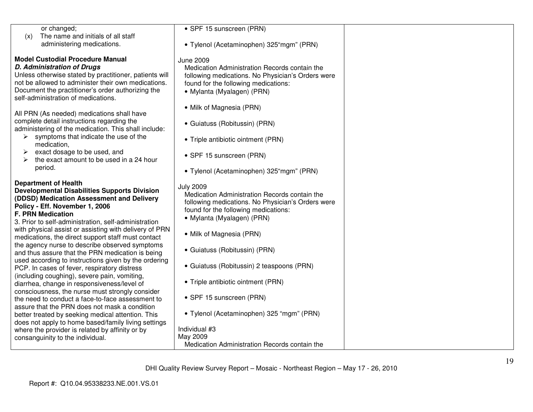| or changed;<br>The name and initials of all staff<br>(x)                                                                                                                                                                                                                                                                                                                                                                | • SPF 15 sunscreen (PRN)                                                                                                                                                                                                 |  |
|-------------------------------------------------------------------------------------------------------------------------------------------------------------------------------------------------------------------------------------------------------------------------------------------------------------------------------------------------------------------------------------------------------------------------|--------------------------------------------------------------------------------------------------------------------------------------------------------------------------------------------------------------------------|--|
| administering medications.                                                                                                                                                                                                                                                                                                                                                                                              | • Tylenol (Acetaminophen) 325"mgm" (PRN)                                                                                                                                                                                 |  |
| <b>Model Custodial Procedure Manual</b><br>D. Administration of Drugs<br>Unless otherwise stated by practitioner, patients will<br>not be allowed to administer their own medications.<br>Document the practitioner's order authorizing the<br>self-administration of medications.<br>All PRN (As needed) medications shall have                                                                                        | <b>June 2009</b><br>Medication Administration Records contain the<br>following medications. No Physician's Orders were<br>found for the following medications:<br>• Mylanta (Myalagen) (PRN)<br>• Milk of Magnesia (PRN) |  |
| complete detail instructions regarding the<br>administering of the medication. This shall include:<br>$\triangleright$ symptoms that indicate the use of the                                                                                                                                                                                                                                                            | • Guiatuss (Robitussin) (PRN)<br>• Triple antibiotic ointment (PRN)                                                                                                                                                      |  |
| medication.<br>exact dosage to be used, and<br>the exact amount to be used in a 24 hour                                                                                                                                                                                                                                                                                                                                 | • SPF 15 sunscreen (PRN)                                                                                                                                                                                                 |  |
| period.                                                                                                                                                                                                                                                                                                                                                                                                                 | • Tylenol (Acetaminophen) 325"mgm" (PRN)                                                                                                                                                                                 |  |
| <b>Department of Health</b><br><b>Developmental Disabilities Supports Division</b><br>(DDSD) Medication Assessment and Delivery<br>Policy - Eff. November 1, 2006<br><b>F. PRN Medication</b><br>3. Prior to self-administration, self-administration<br>with physical assist or assisting with delivery of PRN<br>medications, the direct support staff must contact<br>the agency nurse to describe observed symptoms | <b>July 2009</b><br>Medication Administration Records contain the<br>following medications. No Physician's Orders were<br>found for the following medications:<br>• Mylanta (Myalagen) (PRN)<br>• Milk of Magnesia (PRN) |  |
| and thus assure that the PRN medication is being<br>used according to instructions given by the ordering<br>PCP. In cases of fever, respiratory distress                                                                                                                                                                                                                                                                | • Guiatuss (Robitussin) (PRN)<br>• Guiatuss (Robitussin) 2 teaspoons (PRN)                                                                                                                                               |  |
| (including coughing), severe pain, vomiting,<br>diarrhea, change in responsiveness/level of<br>consciousness, the nurse must strongly consider                                                                                                                                                                                                                                                                          | • Triple antibiotic ointment (PRN)                                                                                                                                                                                       |  |
| the need to conduct a face-to-face assessment to<br>assure that the PRN does not mask a condition                                                                                                                                                                                                                                                                                                                       | • SPF 15 sunscreen (PRN)                                                                                                                                                                                                 |  |
| better treated by seeking medical attention. This<br>does not apply to home based/family living settings<br>where the provider is related by affinity or by                                                                                                                                                                                                                                                             | • Tylenol (Acetaminophen) 325 "mgm" (PRN)<br>Individual #3                                                                                                                                                               |  |
| consanguinity to the individual.                                                                                                                                                                                                                                                                                                                                                                                        | May 2009<br>Medication Administration Records contain the                                                                                                                                                                |  |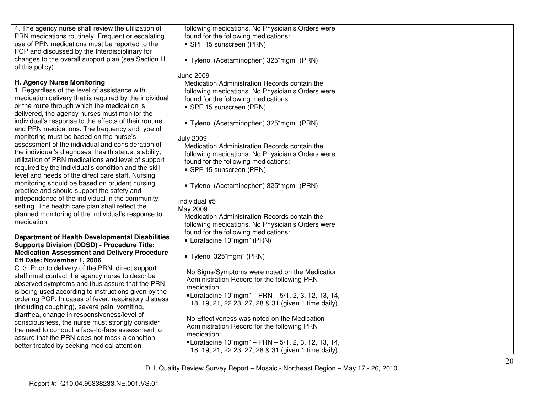| 4. The agency nurse shall review the utilization of                                               | following medications. No Physician's Orders were            |  |
|---------------------------------------------------------------------------------------------------|--------------------------------------------------------------|--|
| PRN medications routinely. Frequent or escalating                                                 | found for the following medications:                         |  |
| use of PRN medications must be reported to the                                                    | • SPF 15 sunscreen (PRN)                                     |  |
| PCP and discussed by the Interdisciplinary for                                                    |                                                              |  |
| changes to the overall support plan (see Section H                                                | • Tylenol (Acetaminophen) 325"mgm" (PRN)                     |  |
| of this policy).                                                                                  |                                                              |  |
|                                                                                                   | <b>June 2009</b>                                             |  |
| H. Agency Nurse Monitoring<br>1. Regardless of the level of assistance with                       | Medication Administration Records contain the                |  |
| medication delivery that is required by the individual                                            | following medications. No Physician's Orders were            |  |
| or the route through which the medication is                                                      | found for the following medications:                         |  |
| delivered, the agency nurses must monitor the                                                     | • SPF 15 sunscreen (PRN)                                     |  |
| individual's response to the effects of their routine                                             |                                                              |  |
| and PRN medications. The frequency and type of                                                    | • Tylenol (Acetaminophen) 325"mgm" (PRN)                     |  |
| monitoring must be based on the nurse's                                                           | <b>July 2009</b>                                             |  |
| assessment of the individual and consideration of                                                 | Medication Administration Records contain the                |  |
| the individual's diagnoses, health status, stability,                                             | following medications. No Physician's Orders were            |  |
| utilization of PRN medications and level of support                                               | found for the following medications:                         |  |
| required by the individual's condition and the skill                                              | • SPF 15 sunscreen (PRN)                                     |  |
| level and needs of the direct care staff. Nursing                                                 |                                                              |  |
| monitoring should be based on prudent nursing                                                     | • Tylenol (Acetaminophen) 325"mgm" (PRN)                     |  |
| practice and should support the safety and                                                        |                                                              |  |
| independence of the individual in the community                                                   | Individual #5                                                |  |
| setting. The health care plan shall reflect the                                                   | May 2009                                                     |  |
| planned monitoring of the individual's response to                                                | Medication Administration Records contain the                |  |
| medication.                                                                                       | following medications. No Physician's Orders were            |  |
|                                                                                                   | found for the following medications:                         |  |
| Department of Health Developmental Disabilities                                                   | • Loratadine 10"mgm" (PRN)                                   |  |
| <b>Supports Division (DDSD) - Procedure Title:</b>                                                |                                                              |  |
| <b>Medication Assessment and Delivery Procedure</b>                                               | • Tylenol 325"mgm" (PRN)                                     |  |
| Eff Date: November 1, 2006                                                                        |                                                              |  |
| C. 3. Prior to delivery of the PRN, direct support                                                | No Signs/Symptoms were noted on the Medication               |  |
| staff must contact the agency nurse to describe<br>observed symptoms and thus assure that the PRN | Administration Record for the following PRN                  |  |
| is being used according to instructions given by the                                              | medication:                                                  |  |
| ordering PCP. In cases of fever, respiratory distress                                             | •Loratadine 10"mgm" - PRN - 5/1, 2, 3, 12, 13, 14,           |  |
| (including coughing), severe pain, vomiting,                                                      | 18, 19, 21, 22 23, 27, 28 & 31 (given 1 time daily)          |  |
| diarrhea, change in responsiveness/level of                                                       |                                                              |  |
| consciousness, the nurse must strongly consider                                                   | No Effectiveness was noted on the Medication                 |  |
| the need to conduct a face-to-face assessment to                                                  | Administration Record for the following PRN                  |  |
| assure that the PRN does not mask a condition                                                     | medication:                                                  |  |
| better treated by seeking medical attention.                                                      | •Loratadine $10^{\circ}$ mgm" - PRN - 5/1, 2, 3, 12, 13, 14, |  |
|                                                                                                   | 18, 19, 21, 22 23, 27, 28 & 31 (given 1 time daily)          |  |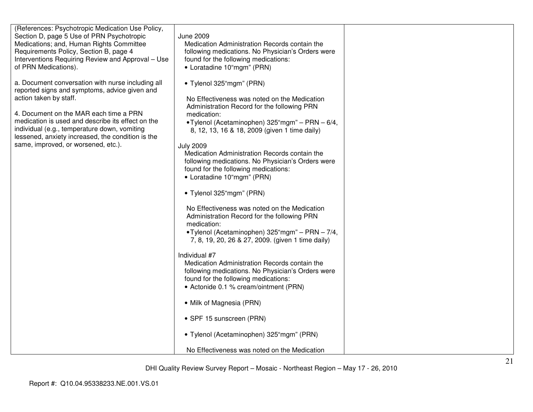| (References: Psychotropic Medication Use Policy,<br>Section D, page 5 Use of PRN Psychotropic<br>Medications; and, Human Rights Committee<br>Requirements Policy, Section B, page 4<br>Interventions Requiring Review and Approval - Use<br>of PRN Medications).<br>a. Document conversation with nurse including all<br>reported signs and symptoms, advice given and<br>action taken by staff.<br>4. Document on the MAR each time a PRN<br>medication is used and describe its effect on the<br>individual (e.g., temperature down, vomiting<br>lessened, anxiety increased, the condition is the<br>same, improved, or worsened, etc.). | June 2009<br>Medication Administration Records contain the<br>following medications. No Physician's Orders were<br>found for the following medications:<br>• Loratadine 10"mgm" (PRN)<br>• Tylenol 325"mgm" (PRN)<br>No Effectiveness was noted on the Medication<br>Administration Record for the following PRN<br>medication:<br>• Tylenol (Acetaminophen) 325"mgm" - PRN - 6/4,<br>8, 12, 13, 16 & 18, 2009 (given 1 time daily)<br><b>July 2009</b><br>Medication Administration Records contain the<br>following medications. No Physician's Orders were<br>found for the following medications:<br>• Loratadine 10"mgm" (PRN)<br>• Tylenol 325"mgm" (PRN)<br>No Effectiveness was noted on the Medication<br>Administration Record for the following PRN<br>medication:<br>•Tylenol (Acetaminophen) 325"mgm" - PRN - 7/4,<br>7, 8, 19, 20, 26 & 27, 2009. (given 1 time daily)<br>Individual #7<br>Medication Administration Records contain the<br>following medications. No Physician's Orders were<br>found for the following medications:<br>• Actonide 0.1 % cream/ointment (PRN)<br>• Milk of Magnesia (PRN)<br>• SPF 15 sunscreen (PRN)<br>• Tylenol (Acetaminophen) 325"mgm" (PRN)<br>No Effectiveness was noted on the Medication |  |
|---------------------------------------------------------------------------------------------------------------------------------------------------------------------------------------------------------------------------------------------------------------------------------------------------------------------------------------------------------------------------------------------------------------------------------------------------------------------------------------------------------------------------------------------------------------------------------------------------------------------------------------------|--------------------------------------------------------------------------------------------------------------------------------------------------------------------------------------------------------------------------------------------------------------------------------------------------------------------------------------------------------------------------------------------------------------------------------------------------------------------------------------------------------------------------------------------------------------------------------------------------------------------------------------------------------------------------------------------------------------------------------------------------------------------------------------------------------------------------------------------------------------------------------------------------------------------------------------------------------------------------------------------------------------------------------------------------------------------------------------------------------------------------------------------------------------------------------------------------------------------------------------------------|--|
|---------------------------------------------------------------------------------------------------------------------------------------------------------------------------------------------------------------------------------------------------------------------------------------------------------------------------------------------------------------------------------------------------------------------------------------------------------------------------------------------------------------------------------------------------------------------------------------------------------------------------------------------|--------------------------------------------------------------------------------------------------------------------------------------------------------------------------------------------------------------------------------------------------------------------------------------------------------------------------------------------------------------------------------------------------------------------------------------------------------------------------------------------------------------------------------------------------------------------------------------------------------------------------------------------------------------------------------------------------------------------------------------------------------------------------------------------------------------------------------------------------------------------------------------------------------------------------------------------------------------------------------------------------------------------------------------------------------------------------------------------------------------------------------------------------------------------------------------------------------------------------------------------------|--|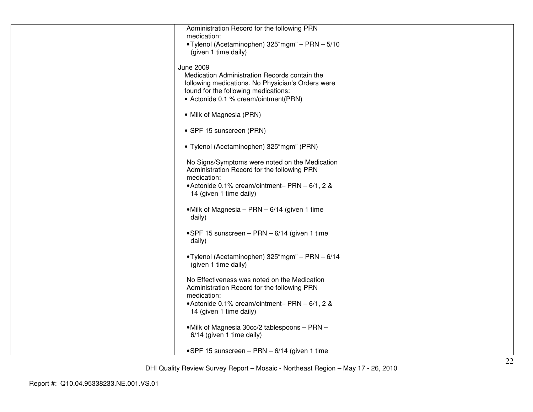| Administration Record for the following PRN<br>medication:                                         |  |
|----------------------------------------------------------------------------------------------------|--|
| •Tylenol (Acetaminophen) 325"mgm" - PRN - 5/10                                                     |  |
| (given 1 time daily)                                                                               |  |
| <b>June 2009</b>                                                                                   |  |
| Medication Administration Records contain the<br>following medications. No Physician's Orders were |  |
| found for the following medications:                                                               |  |
| • Actonide 0.1 % cream/ointment(PRN)                                                               |  |
| • Milk of Magnesia (PRN)                                                                           |  |
| • SPF 15 sunscreen (PRN)                                                                           |  |
| • Tylenol (Acetaminophen) 325"mgm" (PRN)                                                           |  |
| No Signs/Symptoms were noted on the Medication                                                     |  |
| Administration Record for the following PRN<br>medication:                                         |  |
| • Actonide 0.1% cream/ointment-PRN - 6/1, 2 &                                                      |  |
| 14 (given 1 time daily)                                                                            |  |
| • Milk of Magnesia – PRN – 6/14 (given 1 time<br>daily)                                            |  |
|                                                                                                    |  |
| •SPF 15 sunscreen - PRN - 6/14 (given 1 time<br>daily)                                             |  |
|                                                                                                    |  |
| •Tylenol (Acetaminophen) 325"mgm" - PRN - 6/14<br>(given 1 time daily)                             |  |
| No Effectiveness was noted on the Medication                                                       |  |
| Administration Record for the following PRN<br>medication:                                         |  |
| • Actonide 0.1% cream/ointment-PRN - 6/1, 2 &                                                      |  |
| 14 (given 1 time daily)                                                                            |  |
| • Milk of Magnesia 30cc/2 tablespoons - PRN -                                                      |  |
| 6/14 (given 1 time daily)                                                                          |  |
| •SPF 15 sunscreen - PRN - 6/14 (given 1 time                                                       |  |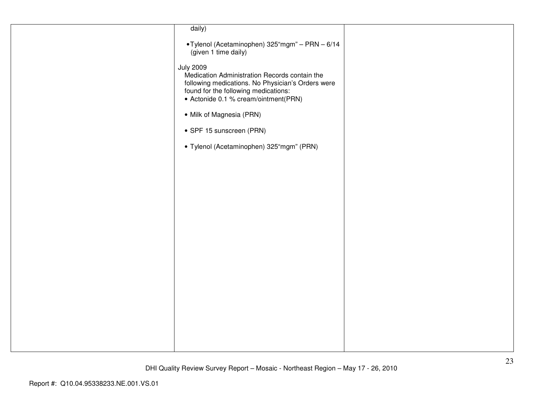| daily)                                                                                                                                                                                                 |  |
|--------------------------------------------------------------------------------------------------------------------------------------------------------------------------------------------------------|--|
| •Tylenol (Acetaminophen) 325"mgm" - PRN - 6/14<br>(given 1 time daily)                                                                                                                                 |  |
| <b>July 2009</b><br>Medication Administration Records contain the<br>following medications. No Physician's Orders were<br>found for the following medications:<br>• Actonide 0.1 % cream/ointment(PRN) |  |
| • Milk of Magnesia (PRN)                                                                                                                                                                               |  |
| • SPF 15 sunscreen (PRN)                                                                                                                                                                               |  |
| · Tylenol (Acetaminophen) 325"mgm" (PRN)                                                                                                                                                               |  |
|                                                                                                                                                                                                        |  |
|                                                                                                                                                                                                        |  |
|                                                                                                                                                                                                        |  |
|                                                                                                                                                                                                        |  |
|                                                                                                                                                                                                        |  |
|                                                                                                                                                                                                        |  |
|                                                                                                                                                                                                        |  |
|                                                                                                                                                                                                        |  |
|                                                                                                                                                                                                        |  |
|                                                                                                                                                                                                        |  |
|                                                                                                                                                                                                        |  |
|                                                                                                                                                                                                        |  |
|                                                                                                                                                                                                        |  |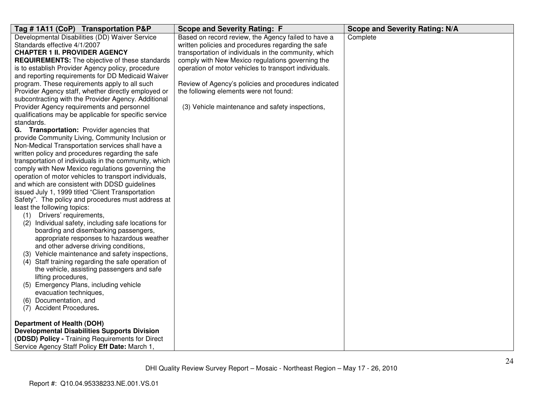| Tag # 1A11 (CoP) Transportation P&P                                               | <b>Scope and Severity Rating: F</b>                   | <b>Scope and Severity Rating: N/A</b> |
|-----------------------------------------------------------------------------------|-------------------------------------------------------|---------------------------------------|
| Developmental Disabilities (DD) Waiver Service                                    | Based on record review, the Agency failed to have a   | Complete                              |
| Standards effective 4/1/2007                                                      | written policies and procedures regarding the safe    |                                       |
| <b>CHAPTER 1 II. PROVIDER AGENCY</b>                                              | transportation of individuals in the community, which |                                       |
| <b>REQUIREMENTS:</b> The objective of these standards                             | comply with New Mexico regulations governing the      |                                       |
| is to establish Provider Agency policy, procedure                                 | operation of motor vehicles to transport individuals. |                                       |
| and reporting requirements for DD Medicaid Waiver                                 |                                                       |                                       |
| program. These requirements apply to all such                                     | Review of Agency's policies and procedures indicated  |                                       |
| Provider Agency staff, whether directly employed or                               | the following elements were not found:                |                                       |
| subcontracting with the Provider Agency. Additional                               |                                                       |                                       |
| Provider Agency requirements and personnel                                        | (3) Vehicle maintenance and safety inspections,       |                                       |
| qualifications may be applicable for specific service                             |                                                       |                                       |
| standards.                                                                        |                                                       |                                       |
| G. Transportation: Provider agencies that                                         |                                                       |                                       |
| provide Community Living, Community Inclusion or                                  |                                                       |                                       |
| Non-Medical Transportation services shall have a                                  |                                                       |                                       |
| written policy and procedures regarding the safe                                  |                                                       |                                       |
| transportation of individuals in the community, which                             |                                                       |                                       |
| comply with New Mexico regulations governing the                                  |                                                       |                                       |
| operation of motor vehicles to transport individuals,                             |                                                       |                                       |
| and which are consistent with DDSD guidelines                                     |                                                       |                                       |
| issued July 1, 1999 titled "Client Transportation                                 |                                                       |                                       |
| Safety". The policy and procedures must address at                                |                                                       |                                       |
| least the following topics:                                                       |                                                       |                                       |
| Drivers' requirements,<br>(1)                                                     |                                                       |                                       |
| Individual safety, including safe locations for<br>(2)                            |                                                       |                                       |
| boarding and disembarking passengers,                                             |                                                       |                                       |
| appropriate responses to hazardous weather                                        |                                                       |                                       |
| and other adverse driving conditions,                                             |                                                       |                                       |
| (3) Vehicle maintenance and safety inspections,                                   |                                                       |                                       |
| (4) Staff training regarding the safe operation of                                |                                                       |                                       |
| the vehicle, assisting passengers and safe                                        |                                                       |                                       |
| lifting procedures,                                                               |                                                       |                                       |
| (5) Emergency Plans, including vehicle                                            |                                                       |                                       |
| evacuation techniques,                                                            |                                                       |                                       |
| Documentation, and<br>(6)                                                         |                                                       |                                       |
| (7) Accident Procedures.                                                          |                                                       |                                       |
|                                                                                   |                                                       |                                       |
| Department of Health (DOH)<br><b>Developmental Disabilities Supports Division</b> |                                                       |                                       |
|                                                                                   |                                                       |                                       |
| (DDSD) Policy - Training Requirements for Direct                                  |                                                       |                                       |
| Service Agency Staff Policy Eff Date: March 1,                                    |                                                       |                                       |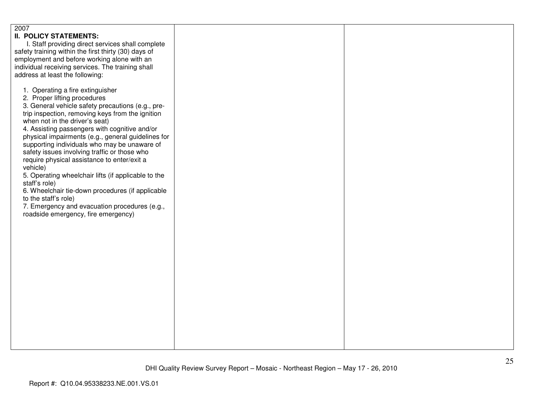| 2007<br><b>II. POLICY STATEMENTS:</b><br>I. Staff providing direct services shall complete<br>safety training within the first thirty (30) days of<br>employment and before working alone with an<br>individual receiving services. The training shall<br>address at least the following:<br>1. Operating a fire extinguisher<br>2. Proper lifting procedures<br>3. General vehicle safety precautions (e.g., pre-<br>trip inspection, removing keys from the ignition<br>when not in the driver's seat)<br>4. Assisting passengers with cognitive and/or<br>physical impairments (e.g., general guidelines for<br>supporting individuals who may be unaware of<br>safety issues involving traffic or those who<br>require physical assistance to enter/exit a<br>vehicle)<br>5. Operating wheelchair lifts (if applicable to the<br>staff's role)<br>6. Wheelchair tie-down procedures (if applicable<br>to the staff's role)<br>7. Emergency and evacuation procedures (e.g.,<br>roadside emergency, fire emergency) |  |  |
|------------------------------------------------------------------------------------------------------------------------------------------------------------------------------------------------------------------------------------------------------------------------------------------------------------------------------------------------------------------------------------------------------------------------------------------------------------------------------------------------------------------------------------------------------------------------------------------------------------------------------------------------------------------------------------------------------------------------------------------------------------------------------------------------------------------------------------------------------------------------------------------------------------------------------------------------------------------------------------------------------------------------|--|--|
|------------------------------------------------------------------------------------------------------------------------------------------------------------------------------------------------------------------------------------------------------------------------------------------------------------------------------------------------------------------------------------------------------------------------------------------------------------------------------------------------------------------------------------------------------------------------------------------------------------------------------------------------------------------------------------------------------------------------------------------------------------------------------------------------------------------------------------------------------------------------------------------------------------------------------------------------------------------------------------------------------------------------|--|--|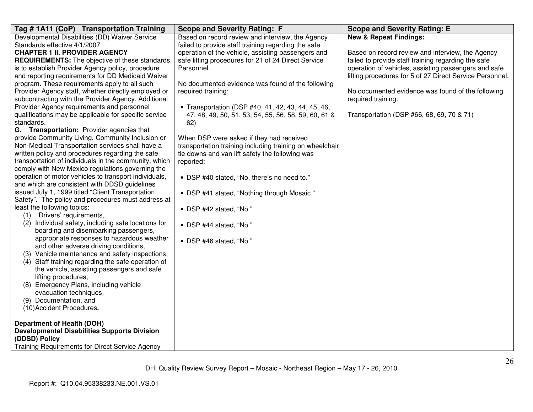| Tag # 1A11 (CoP) Transportation Training              | <b>Scope and Severity Rating: F</b>                      | <b>Scope and Severity Rating: E</b>                      |
|-------------------------------------------------------|----------------------------------------------------------|----------------------------------------------------------|
| Developmental Disabilities (DD) Waiver Service        | Based on record review and interview, the Agency         | <b>New &amp; Repeat Findings:</b>                        |
| Standards effective 4/1/2007                          | failed to provide staff training regarding the safe      |                                                          |
| <b>CHAPTER 1 II. PROVIDER AGENCY</b>                  | operation of the vehicle, assisting passengers and       | Based on record review and interview, the Agency         |
| <b>REQUIREMENTS:</b> The objective of these standards | safe lifting procedures for 21 of 24 Direct Service      | failed to provide staff training regarding the safe      |
| is to establish Provider Agency policy, procedure     | Personnel.                                               | operation of vehicles, assisting passengers and safe     |
| and reporting requirements for DD Medicaid Waiver     |                                                          | lifting procedures for 5 of 27 Direct Service Personnel. |
| program. These requirements apply to all such         | No documented evidence was found of the following        |                                                          |
| Provider Agency staff, whether directly employed or   | required training:                                       | No documented evidence was found of the following        |
| subcontracting with the Provider Agency. Additional   |                                                          | required training:                                       |
| Provider Agency requirements and personnel            | • Transportation (DSP #40, 41, 42, 43, 44, 45, 46,       |                                                          |
| qualifications may be applicable for specific service | 47, 48, 49, 50, 51, 53, 54, 55, 56, 58, 59, 60, 61 &     | Transportation (DSP #66, 68, 69, 70 & 71)                |
| standards.                                            | 62)                                                      |                                                          |
| G. Transportation: Provider agencies that             |                                                          |                                                          |
| provide Community Living, Community Inclusion or      | When DSP were asked if they had received                 |                                                          |
| Non-Medical Transportation services shall have a      | transportation training including training on wheelchair |                                                          |
| written policy and procedures regarding the safe      | tie downs and van lift safety the following was          |                                                          |
| transportation of individuals in the community, which | reported:                                                |                                                          |
| comply with New Mexico regulations governing the      |                                                          |                                                          |
| operation of motor vehicles to transport individuals, | • DSP #40 stated, "No, there's no need to."              |                                                          |
| and which are consistent with DDSD guidelines         |                                                          |                                                          |
| issued July 1, 1999 titled "Client Transportation     | • DSP #41 stated, "Nothing through Mosaic."              |                                                          |
| Safety". The policy and procedures must address at    |                                                          |                                                          |
| least the following topics:                           | • DSP #42 stated, "No."                                  |                                                          |
| Drivers' requirements,<br>(1)                         |                                                          |                                                          |
| (2) Individual safety, including safe locations for   | • DSP #44 stated, "No."                                  |                                                          |
| boarding and disembarking passengers,                 |                                                          |                                                          |
| appropriate responses to hazardous weather            | • DSP #46 stated, "No."                                  |                                                          |
| and other adverse driving conditions,                 |                                                          |                                                          |
| (3) Vehicle maintenance and safety inspections,       |                                                          |                                                          |
| (4) Staff training regarding the safe operation of    |                                                          |                                                          |
| the vehicle, assisting passengers and safe            |                                                          |                                                          |
| lifting procedures,                                   |                                                          |                                                          |
| (8) Emergency Plans, including vehicle                |                                                          |                                                          |
| evacuation techniques,                                |                                                          |                                                          |
| (9) Documentation, and                                |                                                          |                                                          |
| (10) Accident Procedures.                             |                                                          |                                                          |
| <b>Department of Health (DOH)</b>                     |                                                          |                                                          |
| <b>Developmental Disabilities Supports Division</b>   |                                                          |                                                          |
| (DDSD) Policy                                         |                                                          |                                                          |
| Training Requirements for Direct Service Agency       |                                                          |                                                          |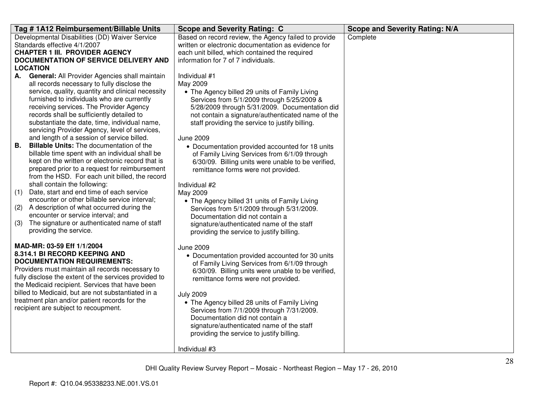| Tag #1A12 Reimbursement/Billable Units                                                              | <b>Scope and Severity Rating: C</b>                                                                         | <b>Scope and Severity Rating: N/A</b> |
|-----------------------------------------------------------------------------------------------------|-------------------------------------------------------------------------------------------------------------|---------------------------------------|
| Developmental Disabilities (DD) Waiver Service<br>Standards effective 4/1/2007                      | Based on record review, the Agency failed to provide<br>written or electronic documentation as evidence for | Complete                              |
| <b>CHAPTER 1 III. PROVIDER AGENCY</b>                                                               | each unit billed, which contained the required                                                              |                                       |
| <b>DOCUMENTATION OF SERVICE DELIVERY AND</b>                                                        | information for 7 of 7 individuals.                                                                         |                                       |
| <b>LOCATION</b>                                                                                     |                                                                                                             |                                       |
| General: All Provider Agencies shall maintain<br>А.                                                 | Individual #1                                                                                               |                                       |
| all records necessary to fully disclose the                                                         | May 2009                                                                                                    |                                       |
| service, quality, quantity and clinical necessity<br>furnished to individuals who are currently     | • The Agency billed 29 units of Family Living<br>Services from 5/1/2009 through 5/25/2009 &                 |                                       |
| receiving services. The Provider Agency                                                             | 5/28/2009 through 5/31/2009. Documentation did                                                              |                                       |
| records shall be sufficiently detailed to                                                           | not contain a signature/authenticated name of the                                                           |                                       |
| substantiate the date, time, individual name,                                                       | staff providing the service to justify billing.                                                             |                                       |
| servicing Provider Agency, level of services,                                                       |                                                                                                             |                                       |
| and length of a session of service billed.                                                          | <b>June 2009</b>                                                                                            |                                       |
| <b>Billable Units:</b> The documentation of the<br><b>B.</b>                                        | • Documentation provided accounted for 18 units                                                             |                                       |
| billable time spent with an individual shall be                                                     | of Family Living Services from 6/1/09 through                                                               |                                       |
| kept on the written or electronic record that is                                                    | 6/30/09. Billing units were unable to be verified,                                                          |                                       |
| prepared prior to a request for reimbursement<br>from the HSD. For each unit billed, the record     | remittance forms were not provided.                                                                         |                                       |
| shall contain the following:                                                                        | Individual #2                                                                                               |                                       |
| Date, start and end time of each service<br>(1)                                                     | May 2009                                                                                                    |                                       |
| encounter or other billable service interval;                                                       | • The Agency billed 31 units of Family Living                                                               |                                       |
| A description of what occurred during the<br>(2)                                                    | Services from 5/1/2009 through 5/31/2009.                                                                   |                                       |
| encounter or service interval; and                                                                  | Documentation did not contain a                                                                             |                                       |
| The signature or authenticated name of staff<br>(3)                                                 | signature/authenticated name of the staff                                                                   |                                       |
| providing the service.                                                                              | providing the service to justify billing.                                                                   |                                       |
| MAD-MR: 03-59 Eff 1/1/2004                                                                          | <b>June 2009</b>                                                                                            |                                       |
| 8.314.1 BI RECORD KEEPING AND                                                                       | • Documentation provided accounted for 30 units                                                             |                                       |
| <b>DOCUMENTATION REQUIREMENTS:</b>                                                                  | of Family Living Services from 6/1/09 through                                                               |                                       |
| Providers must maintain all records necessary to                                                    | 6/30/09. Billing units were unable to be verified,                                                          |                                       |
| fully disclose the extent of the services provided to                                               | remittance forms were not provided.                                                                         |                                       |
| the Medicaid recipient. Services that have been                                                     |                                                                                                             |                                       |
| billed to Medicaid, but are not substantiated in a<br>treatment plan and/or patient records for the | <b>July 2009</b>                                                                                            |                                       |
| recipient are subject to recoupment.                                                                | • The Agency billed 28 units of Family Living                                                               |                                       |
|                                                                                                     | Services from 7/1/2009 through 7/31/2009.<br>Documentation did not contain a                                |                                       |
|                                                                                                     | signature/authenticated name of the staff                                                                   |                                       |
|                                                                                                     | providing the service to justify billing.                                                                   |                                       |
|                                                                                                     |                                                                                                             |                                       |
|                                                                                                     | Individual #3                                                                                               |                                       |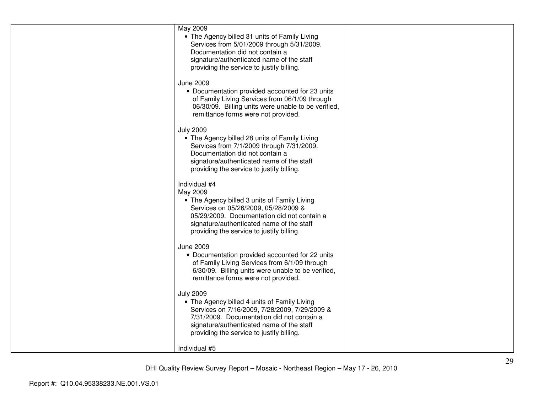| May 2009<br>• The Agency billed 31 units of Family Living<br>Services from 5/01/2009 through 5/31/2009.<br>Documentation did not contain a<br>signature/authenticated name of the staff<br>providing the service to justify billing.                       |  |
|------------------------------------------------------------------------------------------------------------------------------------------------------------------------------------------------------------------------------------------------------------|--|
| <b>June 2009</b><br>• Documentation provided accounted for 23 units<br>of Family Living Services from 06/1/09 through<br>06/30/09. Billing units were unable to be verified,<br>remittance forms were not provided.                                        |  |
| <b>July 2009</b><br>• The Agency billed 28 units of Family Living<br>Services from 7/1/2009 through 7/31/2009.<br>Documentation did not contain a<br>signature/authenticated name of the staff<br>providing the service to justify billing.                |  |
| Individual #4<br>May 2009<br>• The Agency billed 3 units of Family Living<br>Services on 05/26/2009, 05/28/2009 &<br>05/29/2009. Documentation did not contain a<br>signature/authenticated name of the staff<br>providing the service to justify billing. |  |
| <b>June 2009</b><br>• Documentation provided accounted for 22 units<br>of Family Living Services from 6/1/09 through<br>6/30/09. Billing units were unable to be verified,<br>remittance forms were not provided.                                          |  |
| <b>July 2009</b><br>• The Agency billed 4 units of Family Living<br>Services on 7/16/2009, 7/28/2009, 7/29/2009 &<br>7/31/2009. Documentation did not contain a<br>signature/authenticated name of the staff<br>providing the service to justify billing.  |  |
| Individual #5                                                                                                                                                                                                                                              |  |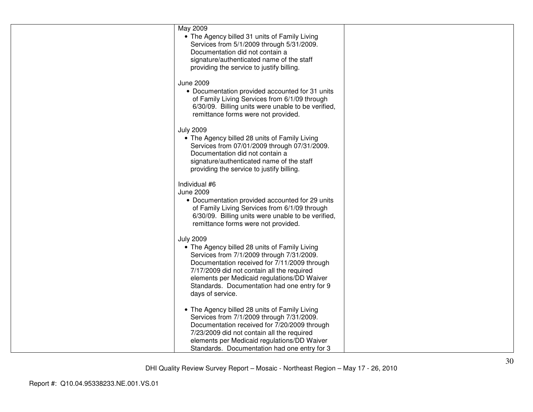| May 2009<br>• The Agency billed 31 units of Family Living<br>Services from 5/1/2009 through 5/31/2009.<br>Documentation did not contain a<br>signature/authenticated name of the staff<br>providing the service to justify billing.                                                                                             |  |
|---------------------------------------------------------------------------------------------------------------------------------------------------------------------------------------------------------------------------------------------------------------------------------------------------------------------------------|--|
| <b>June 2009</b><br>• Documentation provided accounted for 31 units<br>of Family Living Services from 6/1/09 through<br>6/30/09. Billing units were unable to be verified,<br>remittance forms were not provided.                                                                                                               |  |
| <b>July 2009</b><br>• The Agency billed 28 units of Family Living<br>Services from 07/01/2009 through 07/31/2009.<br>Documentation did not contain a<br>signature/authenticated name of the staff<br>providing the service to justify billing.                                                                                  |  |
| Individual #6<br>June 2009<br>• Documentation provided accounted for 29 units<br>of Family Living Services from 6/1/09 through<br>6/30/09. Billing units were unable to be verified,<br>remittance forms were not provided.                                                                                                     |  |
| <b>July 2009</b><br>• The Agency billed 28 units of Family Living<br>Services from 7/1/2009 through 7/31/2009.<br>Documentation received for 7/11/2009 through<br>7/17/2009 did not contain all the required<br>elements per Medicaid regulations/DD Waiver<br>Standards. Documentation had one entry for 9<br>days of service. |  |
| • The Agency billed 28 units of Family Living<br>Services from 7/1/2009 through 7/31/2009.<br>Documentation received for 7/20/2009 through<br>7/23/2009 did not contain all the required<br>elements per Medicaid regulations/DD Waiver<br>Standards. Documentation had one entry for 3                                         |  |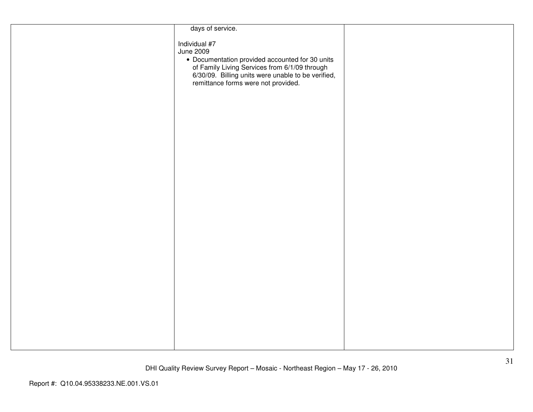| days of service.                                                                                                                                                                                                                   |  |
|------------------------------------------------------------------------------------------------------------------------------------------------------------------------------------------------------------------------------------|--|
| Individual #7<br><b>June 2009</b><br>• Documentation provided accounted for 30 units<br>of Family Living Services from 6/1/09 through<br>6/30/09. Billing units were unable to be verified,<br>remittance forms were not provided. |  |
|                                                                                                                                                                                                                                    |  |
|                                                                                                                                                                                                                                    |  |
|                                                                                                                                                                                                                                    |  |
|                                                                                                                                                                                                                                    |  |
|                                                                                                                                                                                                                                    |  |
|                                                                                                                                                                                                                                    |  |
|                                                                                                                                                                                                                                    |  |
|                                                                                                                                                                                                                                    |  |
|                                                                                                                                                                                                                                    |  |
|                                                                                                                                                                                                                                    |  |
|                                                                                                                                                                                                                                    |  |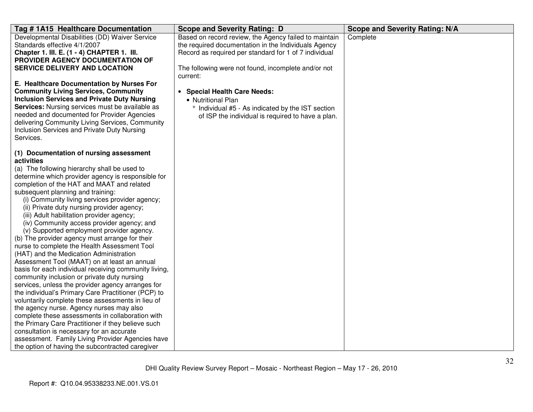| Tag # 1A15 Healthcare Documentation                                                                                                                                                                                                                                                                                                                                                                                                                                                                                                                                                                                                                                                                                                                                                                                                                                                                                                                                                                                                                                                                                                                                                                                                                                     | <b>Scope and Severity Rating: D</b>                                                                                                                                                                                                       | <b>Scope and Severity Rating: N/A</b> |
|-------------------------------------------------------------------------------------------------------------------------------------------------------------------------------------------------------------------------------------------------------------------------------------------------------------------------------------------------------------------------------------------------------------------------------------------------------------------------------------------------------------------------------------------------------------------------------------------------------------------------------------------------------------------------------------------------------------------------------------------------------------------------------------------------------------------------------------------------------------------------------------------------------------------------------------------------------------------------------------------------------------------------------------------------------------------------------------------------------------------------------------------------------------------------------------------------------------------------------------------------------------------------|-------------------------------------------------------------------------------------------------------------------------------------------------------------------------------------------------------------------------------------------|---------------------------------------|
| Developmental Disabilities (DD) Waiver Service<br>Standards effective 4/1/2007<br>Chapter 1. III. E. (1 - 4) CHAPTER 1. III.<br>PROVIDER AGENCY DOCUMENTATION OF<br><b>SERVICE DELIVERY AND LOCATION</b>                                                                                                                                                                                                                                                                                                                                                                                                                                                                                                                                                                                                                                                                                                                                                                                                                                                                                                                                                                                                                                                                | Based on record review, the Agency failed to maintain<br>the required documentation in the Individuals Agency<br>Record as required per standard for 1 of 7 individual<br>The following were not found, incomplete and/or not<br>current: | Complete                              |
| E. Healthcare Documentation by Nurses For<br><b>Community Living Services, Community</b><br><b>Inclusion Services and Private Duty Nursing</b><br>Services: Nursing services must be available as<br>needed and documented for Provider Agencies<br>delivering Community Living Services, Community<br>Inclusion Services and Private Duty Nursing<br>Services.                                                                                                                                                                                                                                                                                                                                                                                                                                                                                                                                                                                                                                                                                                                                                                                                                                                                                                         | • Special Health Care Needs:<br>• Nutritional Plan<br>° Individual #5 - As indicated by the IST section<br>of ISP the individual is required to have a plan.                                                                              |                                       |
| (1) Documentation of nursing assessment<br>activities<br>(a) The following hierarchy shall be used to<br>determine which provider agency is responsible for<br>completion of the HAT and MAAT and related<br>subsequent planning and training:<br>(i) Community living services provider agency;<br>(ii) Private duty nursing provider agency;<br>(iii) Adult habilitation provider agency;<br>(iv) Community access provider agency; and<br>(v) Supported employment provider agency.<br>(b) The provider agency must arrange for their<br>nurse to complete the Health Assessment Tool<br>(HAT) and the Medication Administration<br>Assessment Tool (MAAT) on at least an annual<br>basis for each individual receiving community living,<br>community inclusion or private duty nursing<br>services, unless the provider agency arranges for<br>the individual's Primary Care Practitioner (PCP) to<br>voluntarily complete these assessments in lieu of<br>the agency nurse. Agency nurses may also<br>complete these assessments in collaboration with<br>the Primary Care Practitioner if they believe such<br>consultation is necessary for an accurate<br>assessment. Family Living Provider Agencies have<br>the option of having the subcontracted caregiver |                                                                                                                                                                                                                                           |                                       |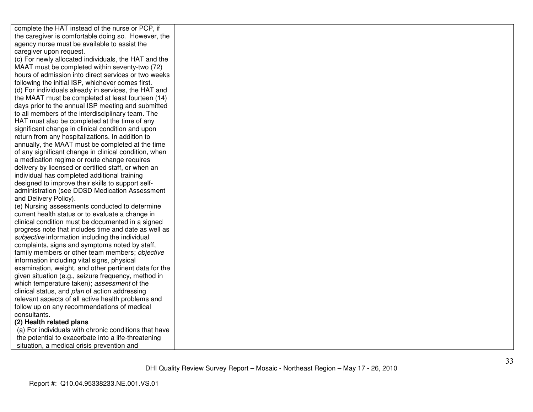| complete the HAT instead of the nurse or PCP, if      |  |
|-------------------------------------------------------|--|
| the caregiver is comfortable doing so. However, the   |  |
| agency nurse must be available to assist the          |  |
| caregiver upon request.                               |  |
| (c) For newly allocated individuals, the HAT and the  |  |
| MAAT must be completed within seventy-two (72)        |  |
| hours of admission into direct services or two weeks  |  |
| following the initial ISP, whichever comes first.     |  |
| (d) For individuals already in services, the HAT and  |  |
| the MAAT must be completed at least fourteen (14)     |  |
| days prior to the annual ISP meeting and submitted    |  |
| to all members of the interdisciplinary team. The     |  |
| HAT must also be completed at the time of any         |  |
| significant change in clinical condition and upon     |  |
| return from any hospitalizations. In addition to      |  |
| annually, the MAAT must be completed at the time      |  |
| of any significant change in clinical condition, when |  |
| a medication regime or route change requires          |  |
| delivery by licensed or certified staff, or when an   |  |
| individual has completed additional training          |  |
| designed to improve their skills to support self-     |  |
| administration (see DDSD Medication Assessment        |  |
| and Delivery Policy).                                 |  |
| (e) Nursing assessments conducted to determine        |  |
| current health status or to evaluate a change in      |  |
| clinical condition must be documented in a signed     |  |
| progress note that includes time and date as well as  |  |
| subjective information including the individual       |  |
| complaints, signs and symptoms noted by staff,        |  |
| family members or other team members; objective       |  |
| information including vital signs, physical           |  |
| examination, weight, and other pertinent data for the |  |
| given situation (e.g., seizure frequency, method in   |  |
| which temperature taken); assessment of the           |  |
| clinical status, and plan of action addressing        |  |
| relevant aspects of all active health problems and    |  |
| follow up on any recommendations of medical           |  |
| consultants.                                          |  |
| (2) Health related plans                              |  |
| (a) For individuals with chronic conditions that have |  |
| the potential to exacerbate into a life-threatening   |  |
| situation, a medical crisis prevention and            |  |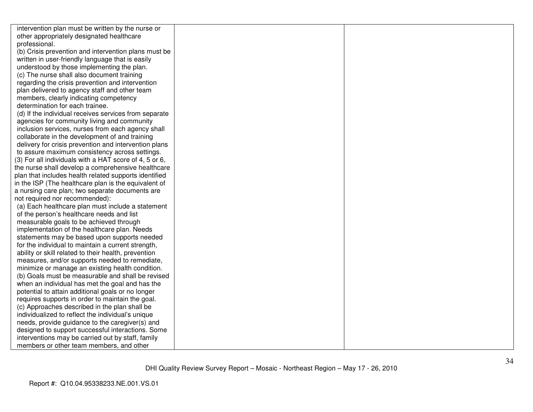| intervention plan must be written by the nurse or      |  |
|--------------------------------------------------------|--|
| other appropriately designated healthcare              |  |
| professional.                                          |  |
| (b) Crisis prevention and intervention plans must be   |  |
| written in user-friendly language that is easily       |  |
| understood by those implementing the plan.             |  |
| (c) The nurse shall also document training             |  |
| regarding the crisis prevention and intervention       |  |
| plan delivered to agency staff and other team          |  |
| members, clearly indicating competency                 |  |
| determination for each trainee.                        |  |
| (d) If the individual receives services from separate  |  |
| agencies for community living and community            |  |
| inclusion services, nurses from each agency shall      |  |
| collaborate in the development of and training         |  |
| delivery for crisis prevention and intervention plans  |  |
| to assure maximum consistency across settings.         |  |
| (3) For all individuals with a HAT score of 4, 5 or 6, |  |
| the nurse shall develop a comprehensive healthcare     |  |
| plan that includes health related supports identified  |  |
| in the ISP (The healthcare plan is the equivalent of   |  |
| a nursing care plan; two separate documents are        |  |
| not required nor recommended):                         |  |
| (a) Each healthcare plan must include a statement      |  |
| of the person's healthcare needs and list              |  |
| measurable goals to be achieved through                |  |
| implementation of the healthcare plan. Needs           |  |
| statements may be based upon supports needed           |  |
| for the individual to maintain a current strength,     |  |
| ability or skill related to their health, prevention   |  |
| measures, and/or supports needed to remediate,         |  |
| minimize or manage an existing health condition.       |  |
| (b) Goals must be measurable and shall be revised      |  |
| when an individual has met the goal and has the        |  |
| potential to attain additional goals or no longer      |  |
| requires supports in order to maintain the goal.       |  |
| (c) Approaches described in the plan shall be          |  |
| individualized to reflect the individual's unique      |  |
| needs, provide guidance to the caregiver(s) and        |  |
| designed to support successful interactions. Some      |  |
| interventions may be carried out by staff, family      |  |
| members or other team members, and other               |  |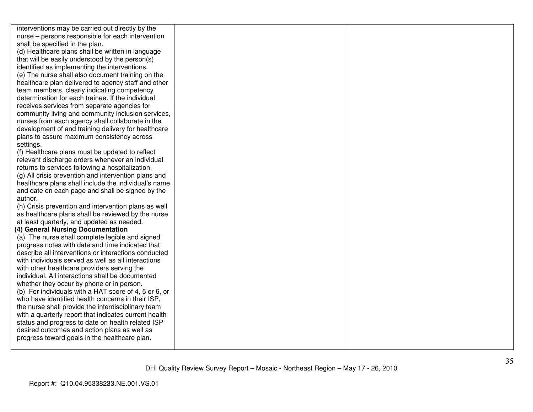interventions may be carried out directly by the nurse – persons responsible for each intervention shall be specified in the plan. (d) Healthcare plans shall be written in language that will be easily understood by the person(s) identified as implementing the interventions. (e) The nurse shall also document training on the healthcare plan delivered to agency staff and otherteam members, clearly indicating competency determination for each trainee. If the individual receives services from separate agencies for community living and community inclusion services, nurses from each agency shall collaborate in the development of and training delivery for healthcareplans to assure maximum consistency across settings. (f) Healthcare plans must be updated to reflect relevant discharge orders whenever an individual returns to services following a hospitalization. (g) All crisis prevention and intervention plans and healthcare plans shall include the individual's name and date on each page and shall be signed by the author. (h) Crisis prevention and intervention plans as well as healthcare plans shall be reviewed by the nurse at least quarterly, and updated as needed. **(4) General Nursing Documentation**  (a) The nurse shall complete legible and signed progress notes with date and time indicated that describe all interventions or interactions conducted with individuals served as well as all interactionswith other healthcare providers serving the individual. All interactions shall be documented whether they occur by phone or in person. (b) For individuals with a HAT score of 4, 5 or 6, or who have identified health concerns in their ISP, the nurse shall provide the interdisciplinary team with a quarterly report that indicates current health status and progress to date on health related ISP desired outcomes and action plans as well as progress toward goals in the healthcare plan.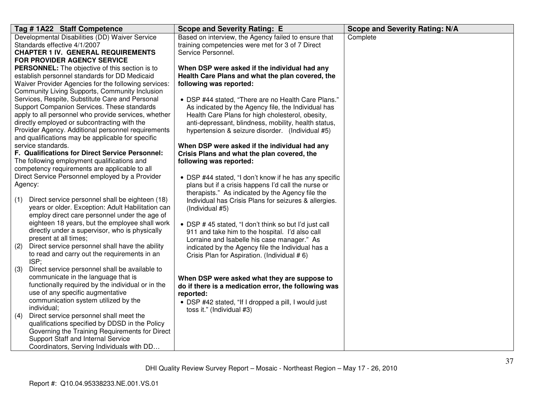| Tag #1A22 Staff Competence                                                                         | <b>Scope and Severity Rating: E</b>                                                                      | <b>Scope and Severity Rating: N/A</b> |
|----------------------------------------------------------------------------------------------------|----------------------------------------------------------------------------------------------------------|---------------------------------------|
| Developmental Disabilities (DD) Waiver Service                                                     | Based on interview, the Agency failed to ensure that                                                     | Complete                              |
| Standards effective 4/1/2007                                                                       | training competencies were met for 3 of 7 Direct                                                         |                                       |
| <b>CHAPTER 1 IV. GENERAL REQUIREMENTS</b>                                                          | Service Personnel.                                                                                       |                                       |
| <b>FOR PROVIDER AGENCY SERVICE</b><br><b>PERSONNEL:</b> The objective of this section is to        | When DSP were asked if the individual had any                                                            |                                       |
| establish personnel standards for DD Medicaid                                                      | Health Care Plans and what the plan covered, the                                                         |                                       |
| Waiver Provider Agencies for the following services:                                               | following was reported:                                                                                  |                                       |
| Community Living Supports, Community Inclusion                                                     |                                                                                                          |                                       |
| Services, Respite, Substitute Care and Personal                                                    | • DSP #44 stated, "There are no Health Care Plans."                                                      |                                       |
| Support Companion Services. These standards                                                        | As indicated by the Agency file, the Individual has                                                      |                                       |
| apply to all personnel who provide services, whether                                               | Health Care Plans for high cholesterol, obesity,                                                         |                                       |
| directly employed or subcontracting with the                                                       | anti-depressant, blindness, mobility, health status,                                                     |                                       |
| Provider Agency. Additional personnel requirements                                                 | hypertension & seizure disorder. (Individual #5)                                                         |                                       |
| and qualifications may be applicable for specific<br>service standards.                            | When DSP were asked if the individual had any                                                            |                                       |
| F. Qualifications for Direct Service Personnel:                                                    | Crisis Plans and what the plan covered, the                                                              |                                       |
| The following employment qualifications and                                                        | following was reported:                                                                                  |                                       |
| competency requirements are applicable to all                                                      |                                                                                                          |                                       |
| Direct Service Personnel employed by a Provider                                                    | • DSP #44 stated, "I don't know if he has any specific                                                   |                                       |
| Agency:                                                                                            | plans but if a crisis happens I'd call the nurse or                                                      |                                       |
|                                                                                                    | therapists." As indicated by the Agency file the                                                         |                                       |
| Direct service personnel shall be eighteen (18)<br>(1)                                             | Individual has Crisis Plans for seizures & allergies.                                                    |                                       |
| years or older. Exception: Adult Habilitation can<br>employ direct care personnel under the age of | (Individual #5)                                                                                          |                                       |
| eighteen 18 years, but the employee shall work                                                     |                                                                                                          |                                       |
| directly under a supervisor, who is physically                                                     | • DSP #45 stated, "I don't think so but I'd just call<br>911 and take him to the hospital. I'd also call |                                       |
| present at all times;                                                                              | Lorraine and Isabelle his case manager." As                                                              |                                       |
| Direct service personnel shall have the ability<br>(2)                                             | indicated by the Agency file the Individual has a                                                        |                                       |
| to read and carry out the requirements in an                                                       | Crisis Plan for Aspiration. (Individual # 6)                                                             |                                       |
| ISP;                                                                                               |                                                                                                          |                                       |
| Direct service personnel shall be available to<br>(3)                                              |                                                                                                          |                                       |
| communicate in the language that is<br>functionally required by the individual or in the           | When DSP were asked what they are suppose to                                                             |                                       |
| use of any specific augmentative                                                                   | do if there is a medication error, the following was<br>reported:                                        |                                       |
| communication system utilized by the                                                               | • DSP #42 stated, "If I dropped a pill, I would just                                                     |                                       |
| individual;                                                                                        | toss it." (Individual #3)                                                                                |                                       |
| Direct service personnel shall meet the<br>(4)                                                     |                                                                                                          |                                       |
| qualifications specified by DDSD in the Policy                                                     |                                                                                                          |                                       |
| Governing the Training Requirements for Direct                                                     |                                                                                                          |                                       |
| Support Staff and Internal Service                                                                 |                                                                                                          |                                       |
| Coordinators, Serving Individuals with DD                                                          |                                                                                                          |                                       |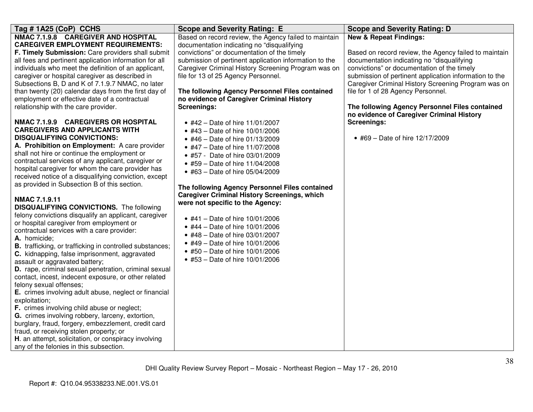| Tag #1A25 (CoP) CCHS                                                                    | <b>Scope and Severity Rating: E</b>                    | <b>Scope and Severity Rating: D</b>                                                         |
|-----------------------------------------------------------------------------------------|--------------------------------------------------------|---------------------------------------------------------------------------------------------|
| NMAC 7.1.9.8 CAREGIVER AND HOSPITAL                                                     | Based on record review, the Agency failed to maintain  | <b>New &amp; Repeat Findings:</b>                                                           |
| <b>CAREGIVER EMPLOYMENT REQUIREMENTS:</b>                                               | documentation indicating no "disqualifying             |                                                                                             |
| F. Timely Submission: Care providers shall submit                                       | convictions" or documentation of the timely            | Based on record review, the Agency failed to maintain                                       |
| all fees and pertinent application information for all                                  | submission of pertinent application information to the | documentation indicating no "disqualifying                                                  |
| individuals who meet the definition of an applicant,                                    | Caregiver Criminal History Screening Program was on    | convictions" or documentation of the timely                                                 |
| caregiver or hospital caregiver as described in                                         | file for 13 of 25 Agency Personnel.                    | submission of pertinent application information to the                                      |
| Subsections B, D and K of 7.1.9.7 NMAC, no later                                        |                                                        | Caregiver Criminal History Screening Program was on                                         |
| than twenty (20) calendar days from the first day of                                    | The following Agency Personnel Files contained         | file for 1 of 28 Agency Personnel.                                                          |
| employment or effective date of a contractual                                           | no evidence of Caregiver Criminal History              |                                                                                             |
| relationship with the care provider.                                                    | <b>Screenings:</b>                                     | The following Agency Personnel Files contained<br>no evidence of Caregiver Criminal History |
| NMAC 7.1.9.9 CAREGIVERS OR HOSPITAL                                                     | • #42 – Date of hire $11/01/2007$                      | <b>Screenings:</b>                                                                          |
| <b>CAREGIVERS AND APPLICANTS WITH</b>                                                   | • #43 - Date of hire 10/01/2006                        |                                                                                             |
| <b>DISQUALIFYING CONVICTIONS:</b>                                                       | • #46 - Date of hire 01/13/2009                        | • #69 - Date of hire 12/17/2009                                                             |
| A. Prohibition on Employment: A care provider                                           | • #47 - Date of hire 11/07/2008                        |                                                                                             |
| shall not hire or continue the employment or                                            | • #57 - Date of hire 03/01/2009                        |                                                                                             |
| contractual services of any applicant, caregiver or                                     | • #59 - Date of hire 11/04/2008                        |                                                                                             |
| hospital caregiver for whom the care provider has                                       | • #63 - Date of hire 05/04/2009                        |                                                                                             |
| received notice of a disqualifying conviction, except                                   |                                                        |                                                                                             |
| as provided in Subsection B of this section.                                            | The following Agency Personnel Files contained         |                                                                                             |
|                                                                                         | <b>Caregiver Criminal History Screenings, which</b>    |                                                                                             |
| <b>NMAC 7.1.9.11</b>                                                                    | were not specific to the Agency:                       |                                                                                             |
| <b>DISQUALIFYING CONVICTIONS.</b> The following                                         |                                                        |                                                                                             |
| felony convictions disqualify an applicant, caregiver                                   | • #41 - Date of hire 10/01/2006                        |                                                                                             |
| or hospital caregiver from employment or                                                | • #44 - Date of hire 10/01/2006                        |                                                                                             |
| contractual services with a care provider:                                              | • #48 - Date of hire 03/01/2007                        |                                                                                             |
| A. homicide;                                                                            | • #49 - Date of hire 10/01/2006                        |                                                                                             |
| <b>B.</b> trafficking, or trafficking in controlled substances;                         | • #50 - Date of hire 10/01/2006                        |                                                                                             |
| C. kidnapping, false imprisonment, aggravated                                           | • #53 - Date of hire 10/01/2006                        |                                                                                             |
| assault or aggravated battery;<br>D. rape, criminal sexual penetration, criminal sexual |                                                        |                                                                                             |
|                                                                                         |                                                        |                                                                                             |
| contact, incest, indecent exposure, or other related<br>felony sexual offenses;         |                                                        |                                                                                             |
| E. crimes involving adult abuse, neglect or financial                                   |                                                        |                                                                                             |
| exploitation;                                                                           |                                                        |                                                                                             |
| F. crimes involving child abuse or neglect;                                             |                                                        |                                                                                             |
| G. crimes involving robbery, larceny, extortion,                                        |                                                        |                                                                                             |
| burglary, fraud, forgery, embezzlement, credit card                                     |                                                        |                                                                                             |
| fraud, or receiving stolen property; or                                                 |                                                        |                                                                                             |
| H. an attempt, solicitation, or conspiracy involving                                    |                                                        |                                                                                             |
| any of the felonies in this subsection.                                                 |                                                        |                                                                                             |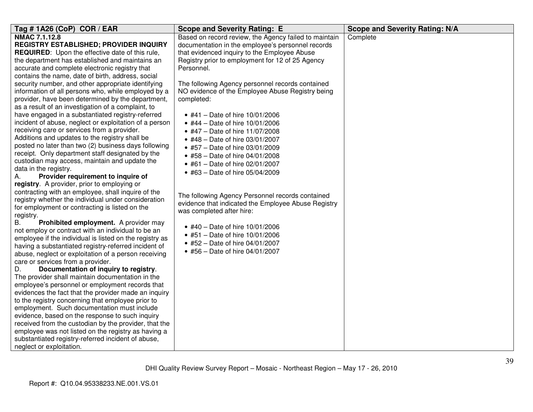| Tag # 1A26 (CoP) COR / EAR                                                                                                                                                                                                                                                                                                                                                                                                                                                                                                                                                                                                                                                                                                                                                                                                                                                                                                                                                                                                                                                                                                                                                                                                                                                                                                                                                                                                                                                                                                                                                                                                                                                                                                                                                                                                                                                                                                                                                                                                                                                   |                                                                                                                                                                                                                                                                                                                                                                                                                                                                                                                                                                                                                                                                                                                                                                                                                                                                                                                                                                         | <b>Scope and Severity Rating: N/A</b> |
|------------------------------------------------------------------------------------------------------------------------------------------------------------------------------------------------------------------------------------------------------------------------------------------------------------------------------------------------------------------------------------------------------------------------------------------------------------------------------------------------------------------------------------------------------------------------------------------------------------------------------------------------------------------------------------------------------------------------------------------------------------------------------------------------------------------------------------------------------------------------------------------------------------------------------------------------------------------------------------------------------------------------------------------------------------------------------------------------------------------------------------------------------------------------------------------------------------------------------------------------------------------------------------------------------------------------------------------------------------------------------------------------------------------------------------------------------------------------------------------------------------------------------------------------------------------------------------------------------------------------------------------------------------------------------------------------------------------------------------------------------------------------------------------------------------------------------------------------------------------------------------------------------------------------------------------------------------------------------------------------------------------------------------------------------------------------------|-------------------------------------------------------------------------------------------------------------------------------------------------------------------------------------------------------------------------------------------------------------------------------------------------------------------------------------------------------------------------------------------------------------------------------------------------------------------------------------------------------------------------------------------------------------------------------------------------------------------------------------------------------------------------------------------------------------------------------------------------------------------------------------------------------------------------------------------------------------------------------------------------------------------------------------------------------------------------|---------------------------------------|
| NMAC 7.1.12.8<br>REGISTRY ESTABLISHED; PROVIDER INQUIRY<br><b>REQUIRED:</b> Upon the effective date of this rule,<br>the department has established and maintains an<br>accurate and complete electronic registry that<br>contains the name, date of birth, address, social<br>security number, and other appropriate identifying<br>information of all persons who, while employed by a<br>provider, have been determined by the department,<br>as a result of an investigation of a complaint, to<br>have engaged in a substantiated registry-referred<br>incident of abuse, neglect or exploitation of a person<br>receiving care or services from a provider.<br>Additions and updates to the registry shall be<br>posted no later than two (2) business days following<br>receipt. Only department staff designated by the<br>custodian may access, maintain and update the<br>data in the registry.<br>Provider requirement to inquire of<br>А.<br>registry. A provider, prior to employing or<br>contracting with an employee, shall inquire of the<br>registry whether the individual under consideration<br>for employment or contracting is listed on the<br>registry.<br>Prohibited employment. A provider may<br>В.<br>not employ or contract with an individual to be an<br>employee if the individual is listed on the registry as<br>having a substantiated registry-referred incident of<br>abuse, neglect or exploitation of a person receiving<br>care or services from a provider.<br>Documentation of inquiry to registry.<br>D.<br>The provider shall maintain documentation in the<br>employee's personnel or employment records that<br>evidences the fact that the provider made an inquiry<br>to the registry concerning that employee prior to<br>employment. Such documentation must include<br>evidence, based on the response to such inquiry<br>received from the custodian by the provider, that the<br>employee was not listed on the registry as having a<br>substantiated registry-referred incident of abuse,<br>neglect or exploitation. | <b>Scope and Severity Rating: E</b><br>Based on record review, the Agency failed to maintain<br>documentation in the employee's personnel records<br>that evidenced inquiry to the Employee Abuse<br>Registry prior to employment for 12 of 25 Agency<br>Personnel.<br>The following Agency personnel records contained<br>NO evidence of the Employee Abuse Registry being<br>completed:<br>• #41 - Date of hire 10/01/2006<br>• #44 - Date of hire $10/01/2006$<br>• #47 - Date of hire 11/07/2008<br>• #48 - Date of hire 03/01/2007<br>• #57 - Date of hire 03/01/2009<br>• #58 - Date of hire 04/01/2008<br>• #61 - Date of hire 02/01/2007<br>• #63 - Date of hire 05/04/2009<br>The following Agency Personnel records contained<br>evidence that indicated the Employee Abuse Registry<br>was completed after hire:<br>• #40 - Date of hire 10/01/2006<br>• #51 - Date of hire 10/01/2006<br>• #52 - Date of hire 04/01/2007<br>• #56 - Date of hire 04/01/2007 | Complete                              |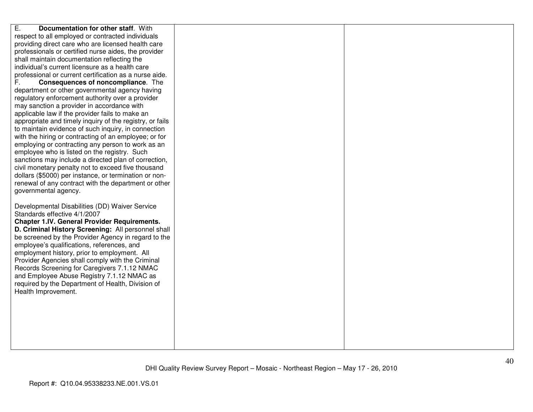| E.<br>Documentation for other staff. With                                                        |  |
|--------------------------------------------------------------------------------------------------|--|
| respect to all employed or contracted individuals                                                |  |
| providing direct care who are licensed health care                                               |  |
| professionals or certified nurse aides, the provider                                             |  |
| shall maintain documentation reflecting the                                                      |  |
| individual's current licensure as a health care                                                  |  |
| professional or current certification as a nurse aide.                                           |  |
| Consequences of noncompliance. The                                                               |  |
| department or other governmental agency having                                                   |  |
| regulatory enforcement authority over a provider                                                 |  |
| may sanction a provider in accordance with                                                       |  |
| applicable law if the provider fails to make an                                                  |  |
| appropriate and timely inquiry of the registry, or fails                                         |  |
| to maintain evidence of such inquiry, in connection                                              |  |
| with the hiring or contracting of an employee; or for                                            |  |
| employing or contracting any person to work as an                                                |  |
| employee who is listed on the registry. Such                                                     |  |
| sanctions may include a directed plan of correction,                                             |  |
| civil monetary penalty not to exceed five thousand                                               |  |
| dollars (\$5000) per instance, or termination or non-                                            |  |
| renewal of any contract with the department or other                                             |  |
| governmental agency.                                                                             |  |
|                                                                                                  |  |
| Developmental Disabilities (DD) Waiver Service                                                   |  |
| Standards effective 4/1/2007                                                                     |  |
| <b>Chapter 1.IV. General Provider Requirements.</b>                                              |  |
| D. Criminal History Screening: All personnel shall                                               |  |
| be screened by the Provider Agency in regard to the                                              |  |
| employee's qualifications, references, and                                                       |  |
| employment history, prior to employment. All                                                     |  |
| Provider Agencies shall comply with the Criminal<br>Records Screening for Caregivers 7.1.12 NMAC |  |
| and Employee Abuse Registry 7.1.12 NMAC as                                                       |  |
| required by the Department of Health, Division of                                                |  |
| Health Improvement.                                                                              |  |
|                                                                                                  |  |
|                                                                                                  |  |
|                                                                                                  |  |
|                                                                                                  |  |
|                                                                                                  |  |
|                                                                                                  |  |
|                                                                                                  |  |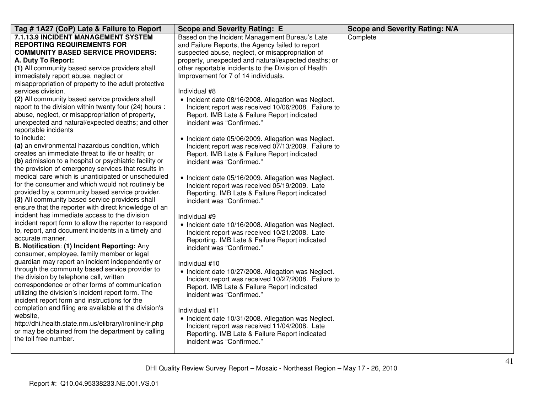| Tag #1A27 (CoP) Late & Failure to Report                                                                | <b>Scope and Severity Rating: E</b>                                                                  | <b>Scope and Severity Rating: N/A</b> |
|---------------------------------------------------------------------------------------------------------|------------------------------------------------------------------------------------------------------|---------------------------------------|
| 7.1.13.9 INCIDENT MANAGEMENT SYSTEM                                                                     | Based on the Incident Management Bureau's Late                                                       | Complete                              |
| <b>REPORTING REQUIREMENTS FOR</b>                                                                       | and Failure Reports, the Agency failed to report                                                     |                                       |
| <b>COMMUNITY BASED SERVICE PROVIDERS:</b>                                                               | suspected abuse, neglect, or misappropriation of                                                     |                                       |
| A. Duty To Report:                                                                                      | property, unexpected and natural/expected deaths; or                                                 |                                       |
| (1) All community based service providers shall                                                         | other reportable incidents to the Division of Health                                                 |                                       |
| immediately report abuse, neglect or                                                                    | Improvement for 7 of 14 individuals.                                                                 |                                       |
| misappropriation of property to the adult protective                                                    |                                                                                                      |                                       |
| services division.                                                                                      | Individual #8                                                                                        |                                       |
| (2) All community based service providers shall                                                         | • Incident date 08/16/2008. Allegation was Neglect.                                                  |                                       |
| report to the division within twenty four (24) hours :                                                  | Incident report was received 10/06/2008. Failure to                                                  |                                       |
| abuse, neglect, or misappropriation of property,                                                        | Report. IMB Late & Failure Report indicated                                                          |                                       |
| unexpected and natural/expected deaths; and other                                                       | incident was "Confirmed."                                                                            |                                       |
| reportable incidents                                                                                    |                                                                                                      |                                       |
| to include:                                                                                             | • Incident date 05/06/2009. Allegation was Neglect.                                                  |                                       |
| (a) an environmental hazardous condition, which                                                         | Incident report was received 07/13/2009. Failure to                                                  |                                       |
| creates an immediate threat to life or health; or                                                       | Report. IMB Late & Failure Report indicated                                                          |                                       |
| (b) admission to a hospital or psychiatric facility or                                                  | incident was "Confirmed."                                                                            |                                       |
| the provision of emergency services that results in                                                     |                                                                                                      |                                       |
| medical care which is unanticipated or unscheduled                                                      | • Incident date 05/16/2009. Allegation was Neglect.                                                  |                                       |
| for the consumer and which would not routinely be                                                       | Incident report was received 05/19/2009. Late                                                        |                                       |
| provided by a community based service provider.                                                         | Reporting. IMB Late & Failure Report indicated                                                       |                                       |
| (3) All community based service providers shall<br>ensure that the reporter with direct knowledge of an | incident was "Confirmed."                                                                            |                                       |
| incident has immediate access to the division                                                           |                                                                                                      |                                       |
| incident report form to allow the reporter to respond                                                   | Individual #9                                                                                        |                                       |
| to, report, and document incidents in a timely and                                                      | • Incident date 10/16/2008. Allegation was Neglect.                                                  |                                       |
| accurate manner.                                                                                        | Incident report was received 10/21/2008. Late                                                        |                                       |
| B. Notification: (1) Incident Reporting: Any                                                            | Reporting. IMB Late & Failure Report indicated                                                       |                                       |
| consumer, employee, family member or legal                                                              | incident was "Confirmed."                                                                            |                                       |
| guardian may report an incident independently or                                                        |                                                                                                      |                                       |
| through the community based service provider to                                                         | Individual #10                                                                                       |                                       |
| the division by telephone call, written                                                                 | • Incident date 10/27/2008. Allegation was Neglect.                                                  |                                       |
| correspondence or other forms of communication                                                          | Incident report was received 10/27/2008. Failure to                                                  |                                       |
| utilizing the division's incident report form. The                                                      | Report. IMB Late & Failure Report indicated                                                          |                                       |
| incident report form and instructions for the                                                           | incident was "Confirmed."                                                                            |                                       |
| completion and filing are available at the division's                                                   | Individual #11                                                                                       |                                       |
| website.                                                                                                |                                                                                                      |                                       |
| http://dhi.health.state.nm.us/elibrary/ironline/ir.php                                                  | • Incident date 10/31/2008. Allegation was Neglect.<br>Incident report was received 11/04/2008. Late |                                       |
| or may be obtained from the department by calling                                                       | Reporting. IMB Late & Failure Report indicated                                                       |                                       |
| the toll free number.                                                                                   | incident was "Confirmed."                                                                            |                                       |
|                                                                                                         |                                                                                                      |                                       |
|                                                                                                         |                                                                                                      |                                       |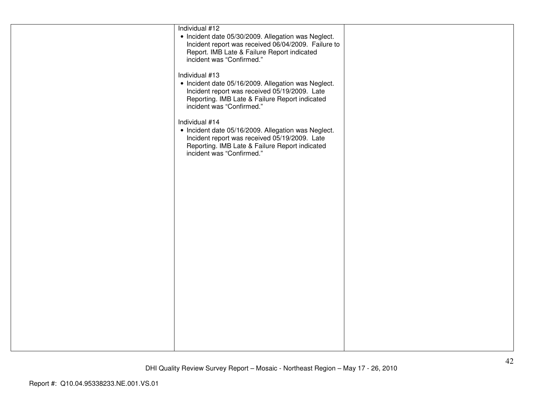| Individual #12<br>• Incident date 05/30/2009. Allegation was Neglect.<br>Incident report was received 06/04/2009. Failure to<br>Report. IMB Late & Failure Report indicated<br>incident was "Confirmed." |  |
|----------------------------------------------------------------------------------------------------------------------------------------------------------------------------------------------------------|--|
| Individual #13<br>• Incident date 05/16/2009. Allegation was Neglect.<br>Incident report was received 05/19/2009. Late<br>Reporting. IMB Late & Failure Report indicated<br>incident was "Confirmed."    |  |
| Individual #14<br>• Incident date 05/16/2009. Allegation was Neglect.<br>Incident report was received 05/19/2009. Late<br>Reporting. IMB Late & Failure Report indicated<br>incident was "Confirmed."    |  |
|                                                                                                                                                                                                          |  |
|                                                                                                                                                                                                          |  |
|                                                                                                                                                                                                          |  |
|                                                                                                                                                                                                          |  |
|                                                                                                                                                                                                          |  |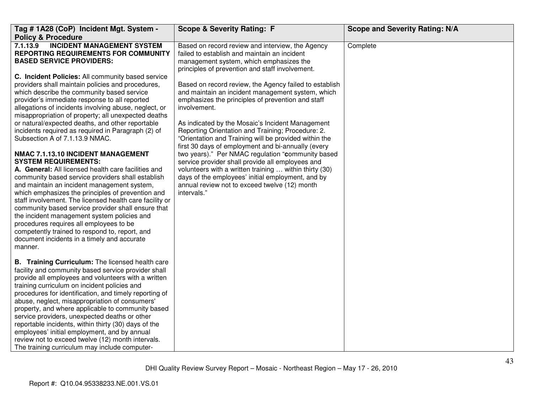| Tag # 1A28 (CoP) Incident Mgt. System -<br><b>Policy &amp; Procedure</b>                                                                                                                                                                                                                                                                                                                                                                                                                                                                                                                                                                       | <b>Scope &amp; Severity Rating: F</b>                                                                                                                                                                                                                                                | <b>Scope and Severity Rating: N/A</b> |
|------------------------------------------------------------------------------------------------------------------------------------------------------------------------------------------------------------------------------------------------------------------------------------------------------------------------------------------------------------------------------------------------------------------------------------------------------------------------------------------------------------------------------------------------------------------------------------------------------------------------------------------------|--------------------------------------------------------------------------------------------------------------------------------------------------------------------------------------------------------------------------------------------------------------------------------------|---------------------------------------|
| 7.1.13.9 INCIDENT MANAGEMENT SYSTEM<br>REPORTING REQUIREMENTS FOR COMMUNITY<br><b>BASED SERVICE PROVIDERS:</b><br>C. Incident Policies: All community based service<br>providers shall maintain policies and procedures,                                                                                                                                                                                                                                                                                                                                                                                                                       | Based on record review and interview, the Agency<br>failed to establish and maintain an incident<br>management system, which emphasizes the<br>principles of prevention and staff involvement.<br>Based on record review, the Agency failed to establish                             | Complete                              |
| which describe the community based service<br>provider's immediate response to all reported<br>allegations of incidents involving abuse, neglect, or<br>misappropriation of property; all unexpected deaths<br>or natural/expected deaths, and other reportable                                                                                                                                                                                                                                                                                                                                                                                | and maintain an incident management system, which<br>emphasizes the principles of prevention and staff<br>involvement.<br>As indicated by the Mosaic's Incident Management                                                                                                           |                                       |
| incidents required as required in Paragraph (2) of<br>Subsection A of 7.1.13.9 NMAC.                                                                                                                                                                                                                                                                                                                                                                                                                                                                                                                                                           | Reporting Orientation and Training; Procedure: 2.<br>"Orientation and Training will be provided within the<br>first 30 days of employment and bi-annually (every                                                                                                                     |                                       |
| NMAC 7.1.13.10 INCIDENT MANAGEMENT<br><b>SYSTEM REQUIREMENTS:</b><br>A. General: All licensed health care facilities and<br>community based service providers shall establish<br>and maintain an incident management system,<br>which emphasizes the principles of prevention and<br>staff involvement. The licensed health care facility or<br>community based service provider shall ensure that<br>the incident management system policies and<br>procedures requires all employees to be<br>competently trained to respond to, report, and<br>document incidents in a timely and accurate<br>manner.                                       | two years)." Per NMAC regulation "community based<br>service provider shall provide all employees and<br>volunteers with a written training  within thirty (30)<br>days of the employees' initial employment, and by<br>annual review not to exceed twelve (12) month<br>intervals." |                                       |
| B. Training Curriculum: The licensed health care<br>facility and community based service provider shall<br>provide all employees and volunteers with a written<br>training curriculum on incident policies and<br>procedures for identification, and timely reporting of<br>abuse, neglect, misappropriation of consumers'<br>property, and where applicable to community based<br>service providers, unexpected deaths or other<br>reportable incidents, within thirty (30) days of the<br>employees' initial employment, and by annual<br>review not to exceed twelve (12) month intervals.<br>The training curriculum may include computer- |                                                                                                                                                                                                                                                                                      |                                       |
|                                                                                                                                                                                                                                                                                                                                                                                                                                                                                                                                                                                                                                                |                                                                                                                                                                                                                                                                                      |                                       |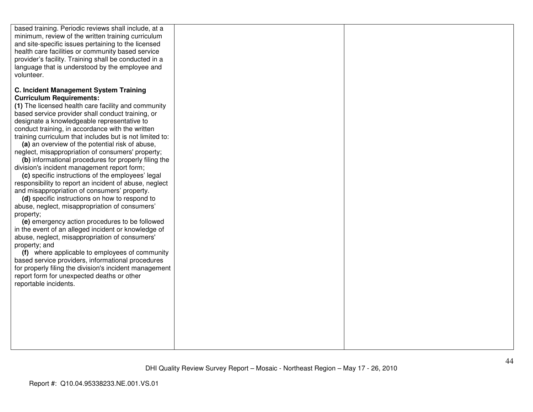| based training. Periodic reviews shall include, at a<br>minimum, review of the written training curriculum<br>and site-specific issues pertaining to the licensed |  |
|-------------------------------------------------------------------------------------------------------------------------------------------------------------------|--|
| health care facilities or community based service<br>provider's facility. Training shall be conducted in a<br>language that is understood by the employee and     |  |
| volunteer.<br><b>C. Incident Management System Training</b>                                                                                                       |  |
| <b>Curriculum Requirements:</b><br>(1) The licensed health care facility and community                                                                            |  |
| based service provider shall conduct training, or<br>designate a knowledgeable representative to<br>conduct training, in accordance with the written              |  |
| training curriculum that includes but is not limited to:<br>(a) an overview of the potential risk of abuse,<br>neglect, misappropriation of consumers' property;  |  |
| (b) informational procedures for properly filing the<br>division's incident management report form;<br>(c) specific instructions of the employees' legal          |  |
| responsibility to report an incident of abuse, neglect<br>and misappropriation of consumers' property.                                                            |  |
| (d) specific instructions on how to respond to<br>abuse, neglect, misappropriation of consumers'<br>property;                                                     |  |
| (e) emergency action procedures to be followed<br>in the event of an alleged incident or knowledge of<br>abuse, neglect, misappropriation of consumers'           |  |
| property; and<br>(f) where applicable to employees of community<br>based service providers, informational procedures                                              |  |
| for properly filing the division's incident management<br>report form for unexpected deaths or other<br>reportable incidents.                                     |  |
|                                                                                                                                                                   |  |
|                                                                                                                                                                   |  |
|                                                                                                                                                                   |  |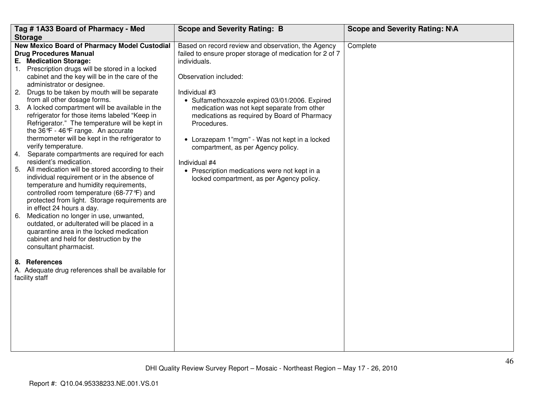| Tag #1A33 Board of Pharmacy - Med                                                                                                                                                                                                                                                                                                                                                                                                                                                                                                                                                                                                                                                                                                                                                                                                                                                                                                                                                                                                                                                                                                                                                                                                                                                            | <b>Scope and Severity Rating: B</b>                                                                                                                                                                                                                                                                                                                                                                                                                                                                                                            | Scope and Severity Rating: N\A |
|----------------------------------------------------------------------------------------------------------------------------------------------------------------------------------------------------------------------------------------------------------------------------------------------------------------------------------------------------------------------------------------------------------------------------------------------------------------------------------------------------------------------------------------------------------------------------------------------------------------------------------------------------------------------------------------------------------------------------------------------------------------------------------------------------------------------------------------------------------------------------------------------------------------------------------------------------------------------------------------------------------------------------------------------------------------------------------------------------------------------------------------------------------------------------------------------------------------------------------------------------------------------------------------------|------------------------------------------------------------------------------------------------------------------------------------------------------------------------------------------------------------------------------------------------------------------------------------------------------------------------------------------------------------------------------------------------------------------------------------------------------------------------------------------------------------------------------------------------|--------------------------------|
|                                                                                                                                                                                                                                                                                                                                                                                                                                                                                                                                                                                                                                                                                                                                                                                                                                                                                                                                                                                                                                                                                                                                                                                                                                                                                              |                                                                                                                                                                                                                                                                                                                                                                                                                                                                                                                                                |                                |
| <b>Storage</b><br><b>New Mexico Board of Pharmacy Model Custodial</b><br><b>Drug Procedures Manual</b><br>E. Medication Storage:<br>1. Prescription drugs will be stored in a locked<br>cabinet and the key will be in the care of the<br>administrator or designee.<br>2. Drugs to be taken by mouth will be separate<br>from all other dosage forms.<br>3. A locked compartment will be available in the<br>refrigerator for those items labeled "Keep in<br>Refrigerator." The temperature will be kept in<br>the 36°F - 46°F range. An accurate<br>thermometer will be kept in the refrigerator to<br>verify temperature.<br>4. Separate compartments are required for each<br>resident's medication.<br>5. All medication will be stored according to their<br>individual requirement or in the absence of<br>temperature and humidity requirements,<br>controlled room temperature (68-77°F) and<br>protected from light. Storage requirements are<br>in effect 24 hours a day.<br>6. Medication no longer in use, unwanted,<br>outdated, or adulterated will be placed in a<br>quarantine area in the locked medication<br>cabinet and held for destruction by the<br>consultant pharmacist.<br>8. References<br>A. Adequate drug references shall be available for<br>facility staff | Based on record review and observation, the Agency<br>failed to ensure proper storage of medication for 2 of 7<br>individuals.<br>Observation included:<br>Individual #3<br>• Sulfamethoxazole expired 03/01/2006. Expired<br>medication was not kept separate from other<br>medications as required by Board of Pharmacy<br>Procedures.<br>• Lorazepam 1"mgm" - Was not kept in a locked<br>compartment, as per Agency policy.<br>Individual #4<br>• Prescription medications were not kept in a<br>locked compartment, as per Agency policy. | Complete                       |
|                                                                                                                                                                                                                                                                                                                                                                                                                                                                                                                                                                                                                                                                                                                                                                                                                                                                                                                                                                                                                                                                                                                                                                                                                                                                                              |                                                                                                                                                                                                                                                                                                                                                                                                                                                                                                                                                |                                |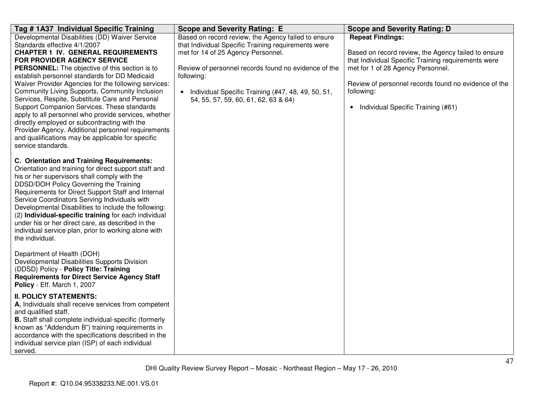| Tag # 1A37 Individual Specific Training                                                                                                                                                                                                                                                                                                                                                                                                                                                                                                                                                                                                                                                                                   | <b>Scope and Severity Rating: E</b>                                                                                                                                                                                                                                                                                    | <b>Scope and Severity Rating: D</b>                                                                                                                                                                                                                                                      |
|---------------------------------------------------------------------------------------------------------------------------------------------------------------------------------------------------------------------------------------------------------------------------------------------------------------------------------------------------------------------------------------------------------------------------------------------------------------------------------------------------------------------------------------------------------------------------------------------------------------------------------------------------------------------------------------------------------------------------|------------------------------------------------------------------------------------------------------------------------------------------------------------------------------------------------------------------------------------------------------------------------------------------------------------------------|------------------------------------------------------------------------------------------------------------------------------------------------------------------------------------------------------------------------------------------------------------------------------------------|
| Developmental Disabilities (DD) Waiver Service<br>Standards effective 4/1/2007<br><b>CHAPTER 1 IV. GENERAL REQUIREMENTS</b><br><b>FOR PROVIDER AGENCY SERVICE</b><br>PERSONNEL: The objective of this section is to<br>establish personnel standards for DD Medicaid<br>Waiver Provider Agencies for the following services:<br>Community Living Supports, Community Inclusion<br>Services, Respite, Substitute Care and Personal<br>Support Companion Services. These standards<br>apply to all personnel who provide services, whether<br>directly employed or subcontracting with the<br>Provider Agency. Additional personnel requirements<br>and qualifications may be applicable for specific<br>service standards. | Based on record review, the Agency failed to ensure<br>that Individual Specific Training requirements were<br>met for 14 of 25 Agency Personnel.<br>Review of personnel records found no evidence of the<br>following:<br>• Individual Specific Training (#47, 48, 49, 50, 51,<br>54, 55, 57, 59, 60, 61, 62, 63 & 64) | <b>Repeat Findings:</b><br>Based on record review, the Agency failed to ensure<br>that Individual Specific Training requirements were<br>met for 1 of 28 Agency Personnel.<br>Review of personnel records found no evidence of the<br>following:<br>• Individual Specific Training (#61) |
| C. Orientation and Training Requirements:<br>Orientation and training for direct support staff and<br>his or her supervisors shall comply with the<br>DDSD/DOH Policy Governing the Training<br>Requirements for Direct Support Staff and Internal<br>Service Coordinators Serving Individuals with<br>Developmental Disabilities to include the following:<br>(2) Individual-specific training for each individual<br>under his or her direct care, as described in the<br>individual service plan, prior to working alone with<br>the individual.                                                                                                                                                                       |                                                                                                                                                                                                                                                                                                                        |                                                                                                                                                                                                                                                                                          |
| Department of Health (DOH)<br>Developmental Disabilities Supports Division<br>(DDSD) Policy - Policy Title: Training<br><b>Requirements for Direct Service Agency Staff</b><br>Policy - Eff. March 1, 2007                                                                                                                                                                                                                                                                                                                                                                                                                                                                                                                |                                                                                                                                                                                                                                                                                                                        |                                                                                                                                                                                                                                                                                          |
| <b>II. POLICY STATEMENTS:</b><br>A. Individuals shall receive services from competent<br>and qualified staff.<br>B. Staff shall complete individual-specific (formerly<br>known as "Addendum B") training requirements in<br>accordance with the specifications described in the<br>individual service plan (ISP) of each individual<br>served.                                                                                                                                                                                                                                                                                                                                                                           |                                                                                                                                                                                                                                                                                                                        |                                                                                                                                                                                                                                                                                          |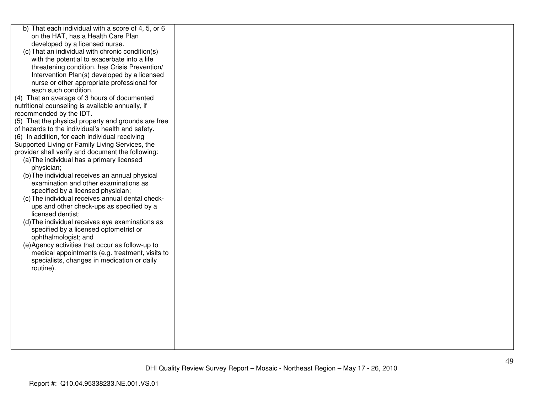| b) That each individual with a score of 4, 5, or 6  |  |
|-----------------------------------------------------|--|
| on the HAT, has a Health Care Plan                  |  |
| developed by a licensed nurse.                      |  |
| (c) That an individual with chronic condition(s)    |  |
| with the potential to exacerbate into a life        |  |
| threatening condition, has Crisis Prevention/       |  |
| Intervention Plan(s) developed by a licensed        |  |
| nurse or other appropriate professional for         |  |
| each such condition.                                |  |
| (4) That an average of 3 hours of documented        |  |
| nutritional counseling is available annually, if    |  |
| recommended by the IDT.                             |  |
| (5) That the physical property and grounds are free |  |
| of hazards to the individual's health and safety.   |  |
| (6) In addition, for each individual receiving      |  |
| Supported Living or Family Living Services, the     |  |
| provider shall verify and document the following:   |  |
| (a) The individual has a primary licensed           |  |
| physician;                                          |  |
| (b) The individual receives an annual physical      |  |
| examination and other examinations as               |  |
| specified by a licensed physician;                  |  |
| (c) The individual receives annual dental check-    |  |
| ups and other check-ups as specified by a           |  |
| licensed dentist;                                   |  |
| (d) The individual receives eye examinations as     |  |
| specified by a licensed optometrist or              |  |
| ophthalmologist; and                                |  |
| (e) Agency activities that occur as follow-up to    |  |
|                                                     |  |
| medical appointments (e.g. treatment, visits to     |  |
| specialists, changes in medication or daily         |  |
| routine).                                           |  |
|                                                     |  |
|                                                     |  |
|                                                     |  |
|                                                     |  |
|                                                     |  |
|                                                     |  |
|                                                     |  |
|                                                     |  |
|                                                     |  |
|                                                     |  |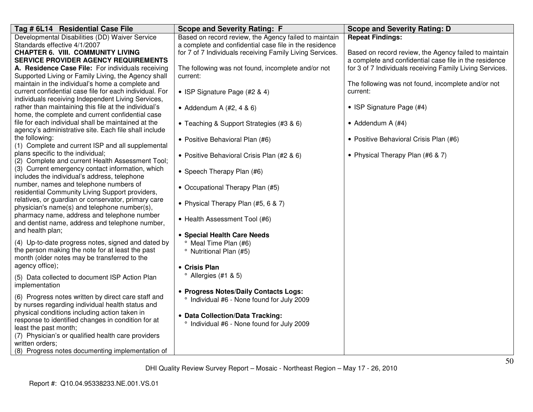| Tag # 6L14 Residential Case File                                                                        | <b>Scope and Severity Rating: F</b>                            | <b>Scope and Severity Rating: D</b>                      |
|---------------------------------------------------------------------------------------------------------|----------------------------------------------------------------|----------------------------------------------------------|
| Developmental Disabilities (DD) Waiver Service                                                          | Based on record review, the Agency failed to maintain          | <b>Repeat Findings:</b>                                  |
| Standards effective 4/1/2007                                                                            | a complete and confidential case file in the residence         |                                                          |
| <b>CHAPTER 6. VIII. COMMUNITY LIVING</b>                                                                | for 7 of 7 Individuals receiving Family Living Services.       | Based on record review, the Agency failed to maintain    |
| <b>SERVICE PROVIDER AGENCY REQUIREMENTS</b>                                                             |                                                                | a complete and confidential case file in the residence   |
| A. Residence Case File: For individuals receiving                                                       | The following was not found, incomplete and/or not<br>current: | for 3 of 7 Individuals receiving Family Living Services. |
| Supported Living or Family Living, the Agency shall<br>maintain in the individual's home a complete and |                                                                | The following was not found, incomplete and/or not       |
| current confidential case file for each individual. For                                                 | • ISP Signature Page (#2 & 4)                                  | current:                                                 |
| individuals receiving Independent Living Services,                                                      |                                                                |                                                          |
| rather than maintaining this file at the individual's                                                   | • Addendum A $(#2, 4 \& 6)$                                    | • ISP Signature Page (#4)                                |
| home, the complete and current confidential case                                                        |                                                                |                                                          |
| file for each individual shall be maintained at the                                                     | • Teaching & Support Strategies (#3 & 6)                       | • Addendum A $(#4)$                                      |
| agency's administrative site. Each file shall include                                                   |                                                                |                                                          |
| the following:                                                                                          | • Positive Behavioral Plan (#6)                                | • Positive Behavioral Crisis Plan (#6)                   |
| (1) Complete and current ISP and all supplemental                                                       |                                                                |                                                          |
| plans specific to the individual;                                                                       | • Positive Behavioral Crisis Plan (#2 & 6)                     | • Physical Therapy Plan (#6 & 7)                         |
| (2) Complete and current Health Assessment Tool;                                                        |                                                                |                                                          |
| (3) Current emergency contact information, which                                                        | • Speech Therapy Plan (#6)                                     |                                                          |
| includes the individual's address, telephone<br>number, names and telephone numbers of                  |                                                                |                                                          |
| residential Community Living Support providers,                                                         | • Occupational Therapy Plan (#5)                               |                                                          |
| relatives, or guardian or conservator, primary care                                                     |                                                                |                                                          |
| physician's name(s) and telephone number(s),                                                            | • Physical Therapy Plan (#5, 6 & 7)                            |                                                          |
| pharmacy name, address and telephone number                                                             |                                                                |                                                          |
| and dentist name, address and telephone number,                                                         | • Health Assessment Tool (#6)                                  |                                                          |
| and health plan;                                                                                        | • Special Health Care Needs                                    |                                                          |
| (4) Up-to-date progress notes, signed and dated by                                                      | Meal Time Plan (#6)                                            |                                                          |
| the person making the note for at least the past                                                        | <sup>o</sup> Nutritional Plan (#5)                             |                                                          |
| month (older notes may be transferred to the                                                            |                                                                |                                                          |
| agency office);                                                                                         | • Crisis Plan                                                  |                                                          |
| (5) Data collected to document ISP Action Plan                                                          | $^{\circ}$ Allergies (#1 & 5)                                  |                                                          |
| implementation                                                                                          |                                                                |                                                          |
|                                                                                                         | • Progress Notes/Daily Contacts Logs:                          |                                                          |
| (6) Progress notes written by direct care staff and                                                     | Individual #6 - None found for July 2009                       |                                                          |
| by nurses regarding individual health status and                                                        |                                                                |                                                          |
| physical conditions including action taken in                                                           | • Data Collection/Data Tracking:                               |                                                          |
| response to identified changes in condition for at<br>least the past month;                             | Individual #6 - None found for July 2009                       |                                                          |
| (7) Physician's or qualified health care providers                                                      |                                                                |                                                          |
| written orders;                                                                                         |                                                                |                                                          |
| (8) Progress notes documenting implementation of                                                        |                                                                |                                                          |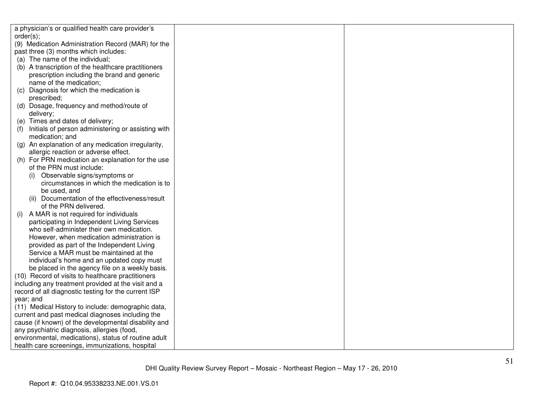| a physician's or qualified health care provider's         |  |
|-----------------------------------------------------------|--|
| order(s);                                                 |  |
| (9) Medication Administration Record (MAR) for the        |  |
| past three (3) months which includes:                     |  |
| (a) The name of the individual;                           |  |
| (b) A transcription of the healthcare practitioners       |  |
| prescription including the brand and generic              |  |
| name of the medication;                                   |  |
| Diagnosis for which the medication is<br>(C)              |  |
| prescribed;                                               |  |
| (d) Dosage, frequency and method/route of                 |  |
| delivery;                                                 |  |
| (e) Times and dates of delivery;                          |  |
| Initials of person administering or assisting with<br>(f) |  |
| medication; and                                           |  |
| An explanation of any medication irregularity,<br>(g)     |  |
| allergic reaction or adverse effect.                      |  |
| (h) For PRN medication an explanation for the use         |  |
| of the PRN must include:                                  |  |
| Observable signs/symptoms or                              |  |
| circumstances in which the medication is to               |  |
| be used, and                                              |  |
| (ii) Documentation of the effectiveness/result            |  |
| of the PRN delivered.                                     |  |
| A MAR is not required for individuals<br>(i)              |  |
| participating in Independent Living Services              |  |
| who self-administer their own medication.                 |  |
| However, when medication administration is                |  |
| provided as part of the Independent Living                |  |
| Service a MAR must be maintained at the                   |  |
| individual's home and an updated copy must                |  |
| be placed in the agency file on a weekly basis.           |  |
| (10) Record of visits to healthcare practitioners         |  |
| including any treatment provided at the visit and a       |  |
| record of all diagnostic testing for the current ISP      |  |
| year; and                                                 |  |
| (11) Medical History to include: demographic data,        |  |
| current and past medical diagnoses including the          |  |
| cause (if known) of the developmental disability and      |  |
| any psychiatric diagnosis, allergies (food,               |  |
| environmental, medications), status of routine adult      |  |
| health care screenings, immunizations, hospital           |  |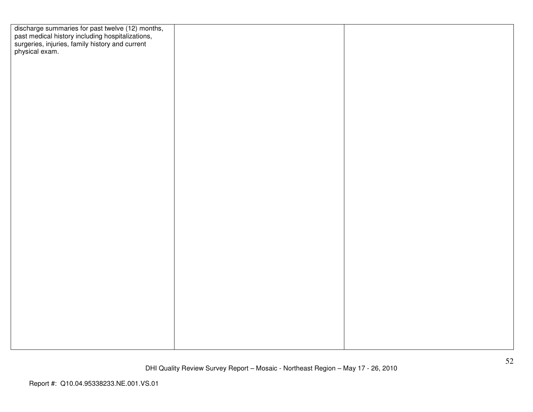| discharge summaries for past twelve (12) months,<br>past medical history including hospitalizations,<br>surgeries, injuries, family history and current<br>physical exam. |  |
|---------------------------------------------------------------------------------------------------------------------------------------------------------------------------|--|
|                                                                                                                                                                           |  |
|                                                                                                                                                                           |  |
|                                                                                                                                                                           |  |
|                                                                                                                                                                           |  |
|                                                                                                                                                                           |  |
|                                                                                                                                                                           |  |
|                                                                                                                                                                           |  |
|                                                                                                                                                                           |  |
|                                                                                                                                                                           |  |
|                                                                                                                                                                           |  |
|                                                                                                                                                                           |  |
|                                                                                                                                                                           |  |
|                                                                                                                                                                           |  |
|                                                                                                                                                                           |  |
|                                                                                                                                                                           |  |
|                                                                                                                                                                           |  |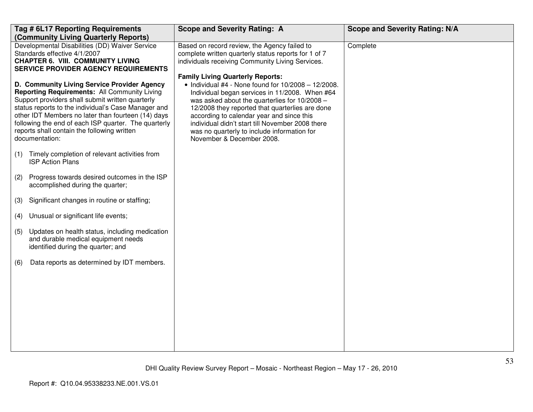|     | Tag # 6L17 Reporting Requirements<br>(Community Living Quarterly Reports)                                                                                                                                                                                                                                                                                                                    | <b>Scope and Severity Rating: A</b>                                                                                                                                                                                                                                                                                                                                                                                                       | <b>Scope and Severity Rating: N/A</b> |
|-----|----------------------------------------------------------------------------------------------------------------------------------------------------------------------------------------------------------------------------------------------------------------------------------------------------------------------------------------------------------------------------------------------|-------------------------------------------------------------------------------------------------------------------------------------------------------------------------------------------------------------------------------------------------------------------------------------------------------------------------------------------------------------------------------------------------------------------------------------------|---------------------------------------|
|     | Developmental Disabilities (DD) Waiver Service<br>Standards effective 4/1/2007<br><b>CHAPTER 6. VIII. COMMUNITY LIVING</b><br><b>SERVICE PROVIDER AGENCY REQUIREMENTS</b>                                                                                                                                                                                                                    | Based on record review, the Agency failed to<br>complete written quarterly status reports for 1 of 7<br>individuals receiving Community Living Services.                                                                                                                                                                                                                                                                                  | Complete                              |
|     | D. Community Living Service Provider Agency<br><b>Reporting Requirements: All Community Living</b><br>Support providers shall submit written quarterly<br>status reports to the individual's Case Manager and<br>other IDT Members no later than fourteen (14) days<br>following the end of each ISP quarter. The quarterly<br>reports shall contain the following written<br>documentation: | <b>Family Living Quarterly Reports:</b><br>$\bullet$ Individual #4 - None found for 10/2008 - 12/2008.<br>Individual began services in 11/2008. When #64<br>was asked about the quarterlies for 10/2008 -<br>12/2008 they reported that quarterlies are done<br>according to calendar year and since this<br>individual didn't start till November 2008 there<br>was no quarterly to include information for<br>November & December 2008. |                                       |
| (1) | Timely completion of relevant activities from<br><b>ISP Action Plans</b>                                                                                                                                                                                                                                                                                                                     |                                                                                                                                                                                                                                                                                                                                                                                                                                           |                                       |
| (2) | Progress towards desired outcomes in the ISP<br>accomplished during the quarter;                                                                                                                                                                                                                                                                                                             |                                                                                                                                                                                                                                                                                                                                                                                                                                           |                                       |
| (3) | Significant changes in routine or staffing;                                                                                                                                                                                                                                                                                                                                                  |                                                                                                                                                                                                                                                                                                                                                                                                                                           |                                       |
| (4) | Unusual or significant life events;                                                                                                                                                                                                                                                                                                                                                          |                                                                                                                                                                                                                                                                                                                                                                                                                                           |                                       |
| (5) | Updates on health status, including medication<br>and durable medical equipment needs<br>identified during the quarter; and                                                                                                                                                                                                                                                                  |                                                                                                                                                                                                                                                                                                                                                                                                                                           |                                       |
| (6) | Data reports as determined by IDT members.                                                                                                                                                                                                                                                                                                                                                   |                                                                                                                                                                                                                                                                                                                                                                                                                                           |                                       |
|     |                                                                                                                                                                                                                                                                                                                                                                                              |                                                                                                                                                                                                                                                                                                                                                                                                                                           |                                       |
|     |                                                                                                                                                                                                                                                                                                                                                                                              |                                                                                                                                                                                                                                                                                                                                                                                                                                           |                                       |
|     |                                                                                                                                                                                                                                                                                                                                                                                              |                                                                                                                                                                                                                                                                                                                                                                                                                                           |                                       |
|     |                                                                                                                                                                                                                                                                                                                                                                                              |                                                                                                                                                                                                                                                                                                                                                                                                                                           |                                       |
|     |                                                                                                                                                                                                                                                                                                                                                                                              |                                                                                                                                                                                                                                                                                                                                                                                                                                           |                                       |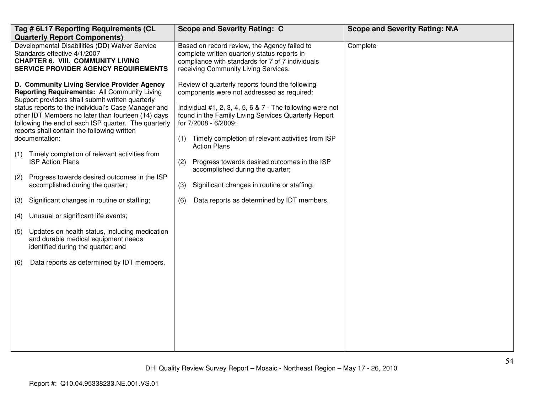| Tag # 6L17 Reporting Requirements (CL                                                                                                                                                                                                                                                                                                                                                                                                                                                                                                                                                                                                                                                                                                                                                                                                                              | <b>Scope and Severity Rating: C</b>                                                                                                                                                                                                                                                                                                                                                                                                                                                                                                   | Scope and Severity Rating: N\A |
|--------------------------------------------------------------------------------------------------------------------------------------------------------------------------------------------------------------------------------------------------------------------------------------------------------------------------------------------------------------------------------------------------------------------------------------------------------------------------------------------------------------------------------------------------------------------------------------------------------------------------------------------------------------------------------------------------------------------------------------------------------------------------------------------------------------------------------------------------------------------|---------------------------------------------------------------------------------------------------------------------------------------------------------------------------------------------------------------------------------------------------------------------------------------------------------------------------------------------------------------------------------------------------------------------------------------------------------------------------------------------------------------------------------------|--------------------------------|
| <b>Quarterly Report Components)</b><br>Developmental Disabilities (DD) Waiver Service<br>Standards effective 4/1/2007<br><b>CHAPTER 6. VIII. COMMUNITY LIVING</b><br><b>SERVICE PROVIDER AGENCY REQUIREMENTS</b>                                                                                                                                                                                                                                                                                                                                                                                                                                                                                                                                                                                                                                                   | Based on record review, the Agency failed to<br>complete written quarterly status reports in<br>compliance with standards for 7 of 7 individuals<br>receiving Community Living Services.                                                                                                                                                                                                                                                                                                                                              | Complete                       |
| D. Community Living Service Provider Agency<br>Reporting Requirements: All Community Living<br>Support providers shall submit written quarterly<br>status reports to the individual's Case Manager and<br>other IDT Members no later than fourteen (14) days<br>following the end of each ISP quarter. The quarterly<br>reports shall contain the following written<br>documentation:<br>Timely completion of relevant activities from<br>(1)<br><b>ISP Action Plans</b><br>Progress towards desired outcomes in the ISP<br>(2)<br>accomplished during the quarter;<br>Significant changes in routine or staffing;<br>(3)<br>Unusual or significant life events;<br>(4)<br>Updates on health status, including medication<br>(5)<br>and durable medical equipment needs<br>identified during the quarter; and<br>Data reports as determined by IDT members.<br>(6) | Review of quarterly reports found the following<br>components were not addressed as required:<br>Individual #1, 2, 3, 4, 5, 6 & $7$ - The following were not<br>found in the Family Living Services Quarterly Report<br>for 7/2008 - 6/2009:<br>Timely completion of relevant activities from ISP<br>(1)<br><b>Action Plans</b><br>Progress towards desired outcomes in the ISP<br>(2)<br>accomplished during the quarter;<br>Significant changes in routine or staffing;<br>(3)<br>Data reports as determined by IDT members.<br>(6) |                                |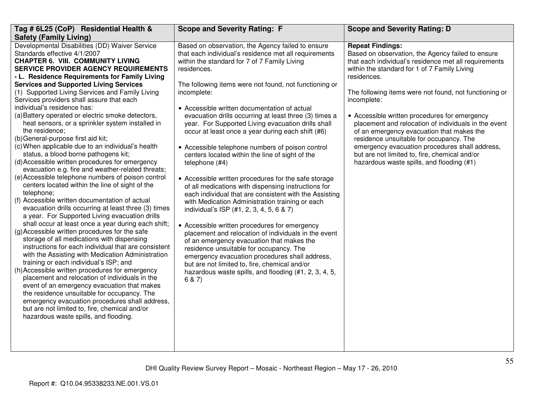| Tag # 6L25 (CoP) Residential Health &                                                                                                                                                                                                                                                                                                                                                                                                                                                                                                                                                                                                                                                                                                                                                                                                                                                                                                                                                                                                                                                                                                                                                                                                                                                                                                                                                                                                                                                                                                                                                                                                                                                                                                                                                        | <b>Scope and Severity Rating: F</b>                                                                                                                                                                                                                                                                                                                                                                                                                                                                                                                                                                                                                                                                                                                                                                                                                                                                                                                                                                                                                                                                                                                                                   |                                                                                                                                                                                                                                                                                                                                                                                                                                                                                                                                                                                                                                |
|----------------------------------------------------------------------------------------------------------------------------------------------------------------------------------------------------------------------------------------------------------------------------------------------------------------------------------------------------------------------------------------------------------------------------------------------------------------------------------------------------------------------------------------------------------------------------------------------------------------------------------------------------------------------------------------------------------------------------------------------------------------------------------------------------------------------------------------------------------------------------------------------------------------------------------------------------------------------------------------------------------------------------------------------------------------------------------------------------------------------------------------------------------------------------------------------------------------------------------------------------------------------------------------------------------------------------------------------------------------------------------------------------------------------------------------------------------------------------------------------------------------------------------------------------------------------------------------------------------------------------------------------------------------------------------------------------------------------------------------------------------------------------------------------|---------------------------------------------------------------------------------------------------------------------------------------------------------------------------------------------------------------------------------------------------------------------------------------------------------------------------------------------------------------------------------------------------------------------------------------------------------------------------------------------------------------------------------------------------------------------------------------------------------------------------------------------------------------------------------------------------------------------------------------------------------------------------------------------------------------------------------------------------------------------------------------------------------------------------------------------------------------------------------------------------------------------------------------------------------------------------------------------------------------------------------------------------------------------------------------|--------------------------------------------------------------------------------------------------------------------------------------------------------------------------------------------------------------------------------------------------------------------------------------------------------------------------------------------------------------------------------------------------------------------------------------------------------------------------------------------------------------------------------------------------------------------------------------------------------------------------------|
| <b>Safety (Family Living)</b>                                                                                                                                                                                                                                                                                                                                                                                                                                                                                                                                                                                                                                                                                                                                                                                                                                                                                                                                                                                                                                                                                                                                                                                                                                                                                                                                                                                                                                                                                                                                                                                                                                                                                                                                                                |                                                                                                                                                                                                                                                                                                                                                                                                                                                                                                                                                                                                                                                                                                                                                                                                                                                                                                                                                                                                                                                                                                                                                                                       | <b>Scope and Severity Rating: D</b>                                                                                                                                                                                                                                                                                                                                                                                                                                                                                                                                                                                            |
| Developmental Disabilities (DD) Waiver Service<br>Standards effective 4/1/2007<br><b>CHAPTER 6. VIII. COMMUNITY LIVING</b><br><b>SERVICE PROVIDER AGENCY REQUIREMENTS</b><br>residences.<br>- L. Residence Requirements for Family Living<br><b>Services and Supported Living Services</b><br>(1) Supported Living Services and Family Living<br>incomplete:<br>Services providers shall assure that each<br>individual's residence has:<br>(a) Battery operated or electric smoke detectors,<br>heat sensors, or a sprinkler system installed in<br>the residence;<br>(b) General-purpose first aid kit;<br>(c) When applicable due to an individual's health<br>status, a blood borne pathogens kit;<br>(d) Accessible written procedures for emergency<br>telephone $(H4)$<br>evacuation e.g. fire and weather-related threats;<br>(e) Accessible telephone numbers of poison control<br>centers located within the line of sight of the<br>telephone;<br>(f) Accessible written documentation of actual<br>evacuation drills occurring at least three (3) times<br>a year. For Supported Living evacuation drills<br>shall occur at least once a year during each shift;<br>(g) Accessible written procedures for the safe<br>storage of all medications with dispensing<br>instructions for each individual that are consistent<br>with the Assisting with Medication Administration<br>training or each individual's ISP; and<br>(h) Accessible written procedures for emergency<br>placement and relocation of individuals in the<br>6 & 7)<br>event of an emergency evacuation that makes<br>the residence unsuitable for occupancy. The<br>emergency evacuation procedures shall address,<br>but are not limited to, fire, chemical and/or<br>hazardous waste spills, and flooding. | Based on observation, the Agency failed to ensure<br>that each individual's residence met all requirements<br>within the standard for 7 of 7 Family Living<br>The following items were not found, not functioning or<br>• Accessible written documentation of actual<br>evacuation drills occurring at least three (3) times a<br>year. For Supported Living evacuation drills shall<br>occur at least once a year during each shift (#6)<br>• Accessible telephone numbers of poison control<br>centers located within the line of sight of the<br>• Accessible written procedures for the safe storage<br>of all medications with dispensing instructions for<br>each individual that are consistent with the Assisting<br>with Medication Administration training or each<br>individual's ISP (#1, 2, 3, 4, 5, 6 & 7)<br>• Accessible written procedures for emergency<br>placement and relocation of individuals in the event<br>of an emergency evacuation that makes the<br>residence unsuitable for occupancy. The<br>emergency evacuation procedures shall address,<br>but are not limited to, fire, chemical and/or<br>hazardous waste spills, and flooding (#1, 2, 3, 4, 5, | <b>Repeat Findings:</b><br>Based on observation, the Agency failed to ensure<br>that each individual's residence met all requirements<br>within the standard for 1 of 7 Family Living<br>residences.<br>The following items were not found, not functioning or<br>incomplete:<br>• Accessible written procedures for emergency<br>placement and relocation of individuals in the event<br>of an emergency evacuation that makes the<br>residence unsuitable for occupancy. The<br>emergency evacuation procedures shall address,<br>but are not limited to, fire, chemical and/or<br>hazardous waste spills, and flooding (#1) |